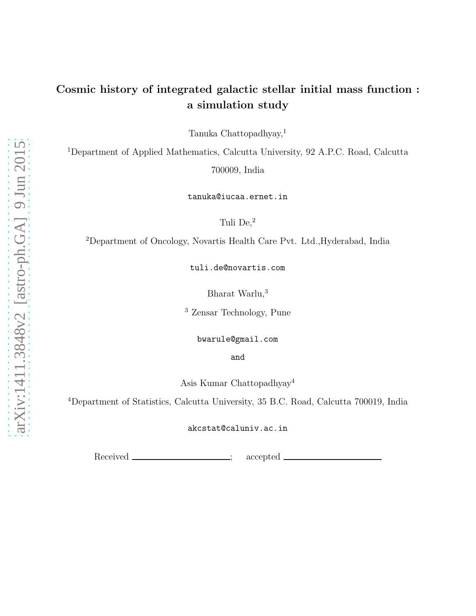# Cosmic history of integrated galactic stellar initial mass function : a simulation study

Tanuka Chattopadhyay,<sup>1</sup>

<sup>1</sup>Department of Applied Mathematics, Calcutta University, 92 A.P.C. Road, Calcutta 700009, India

tanuka@iucaa.ernet.in

Tuli De,<sup>2</sup>

<sup>2</sup>Department of Oncology, Novartis Health Care Pvt. Ltd.,Hyderabad, India

tuli.de@novartis.com

Bharat Warlu,<sup>3</sup>

<sup>3</sup> Zensar Technology, Pune

bwarule@gmail.com

and

Asis Kumar Chattopadhyay<sup>4</sup>

<sup>4</sup>Department of Statistics, Calcutta University, 35 B.C. Road, Calcutta 700019, India

akcstat@caluniv.ac.in

Received \_\_\_\_\_\_\_\_\_\_\_\_\_\_\_\_\_; accepted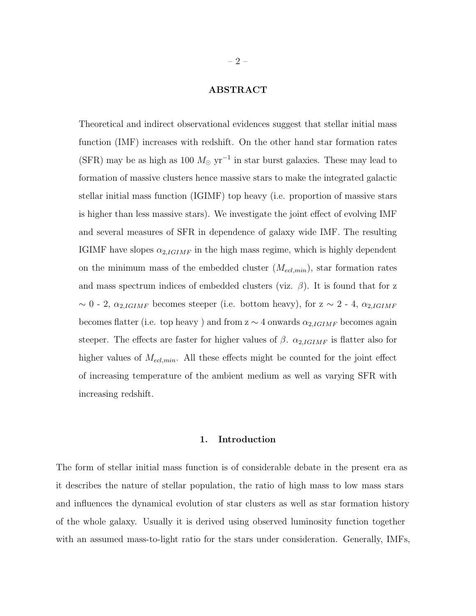## ABSTRACT

Theoretical and indirect observational evidences suggest that stellar initial mass function (IMF) increases with redshift. On the other hand star formation rates (SFR) may be as high as 100  $M_{\odot}$  yr<sup>-1</sup> in star burst galaxies. These may lead to formation of massive clusters hence massive stars to make the integrated galactic stellar initial mass function (IGIMF) top heavy (i.e. proportion of massive stars is higher than less massive stars). We investigate the joint effect of evolving IMF and several measures of SFR in dependence of galaxy wide IMF. The resulting IGIMF have slopes  $\alpha_{2,IGIMF}$  in the high mass regime, which is highly dependent on the minimum mass of the embedded cluster  $(M_{ecl,min})$ , star formation rates and mass spectrum indices of embedded clusters (viz.  $\beta$ ). It is found that for z  $\sim$  0 - 2,  $\alpha_{2,IGIMF}$  becomes steeper (i.e. bottom heavy), for z  $\sim$  2 - 4,  $\alpha_{2,IGIMF}$ becomes flatter (i.e. top heavy) and from  $z \sim 4$  onwards  $\alpha_{2,IGIMF}$  becomes again steeper. The effects are faster for higher values of  $\beta$ .  $\alpha_{2,IGIMF}$  is flatter also for higher values of  $M_{ecl,min}$ . All these effects might be counted for the joint effect of increasing temperature of the ambient medium as well as varying SFR with increasing redshift.

#### 1. Introduction

The form of stellar initial mass function is of considerable debate in the present era as it describes the nature of stellar population, the ratio of high mass to low mass stars and influences the dynamical evolution of star clusters as well as star formation history of the whole galaxy. Usually it is derived using observed luminosity function together with an assumed mass-to-light ratio for the stars under consideration. Generally, IMFs,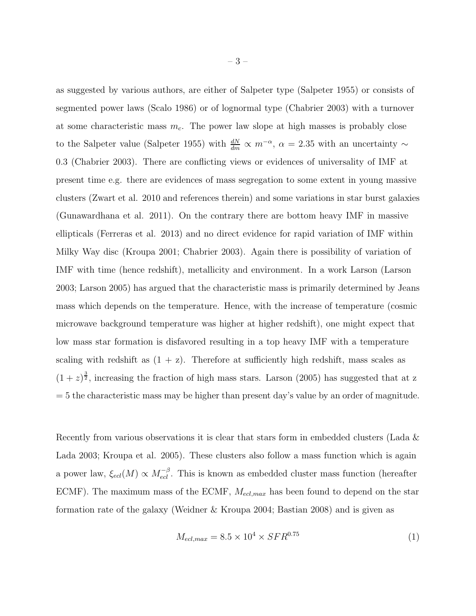as suggested by various authors, are either of Salpeter type (Salpeter 1955) or consists of segmented power laws (Scalo 1986) or of lognormal type (Chabrier 2003) with a turnover at some characteristic mass  $m<sub>c</sub>$ . The power law slope at high masses is probably close to the Salpeter value (Salpeter 1955) with  $\frac{dN}{dm} \propto m^{-\alpha}$ ,  $\alpha = 2.35$  with an uncertainty  $\sim$ 0.3 (Chabrier 2003). There are conflicting views or evidences of universality of IMF at present time e.g. there are evidences of mass segregation to some extent in young massive clusters (Zwart et al. 2010 and references therein) and some variations in star burst galaxies (Gunawardhana et al. 2011). On the contrary there are bottom heavy IMF in massive ellipticals (Ferreras et al. 2013) and no direct evidence for rapid variation of IMF within Milky Way disc (Kroupa 2001; Chabrier 2003). Again there is possibility of variation of IMF with time (hence redshift), metallicity and environment. In a work Larson (Larson 2003; Larson 2005) has argued that the characteristic mass is primarily determined by Jeans mass which depends on the temperature. Hence, with the increase of temperature (cosmic microwave background temperature was higher at higher redshift), one might expect that low mass star formation is disfavored resulting in a top heavy IMF with a temperature scaling with redshift as  $(1 + z)$ . Therefore at sufficiently high redshift, mass scales as  $(1+z)^{\frac{3}{2}}$ , increasing the fraction of high mass stars. Larson (2005) has suggested that at z  $= 5$  the characteristic mass may be higher than present day's value by an order of magnitude.

Recently from various observations it is clear that stars form in embedded clusters (Lada & Lada 2003; Kroupa et al. 2005). These clusters also follow a mass function which is again a power law,  $\xi_{ecl}(M) \propto M_{ecl}^{-\beta}$ . This is known as embedded cluster mass function (hereafter ECMF). The maximum mass of the ECMF,  $M_{ecl,max}$  has been found to depend on the star formation rate of the galaxy (Weidner & Kroupa 2004; Bastian 2008) and is given as

$$
M_{ecl,max} = 8.5 \times 10^4 \times SFR^{0.75}
$$
 (1)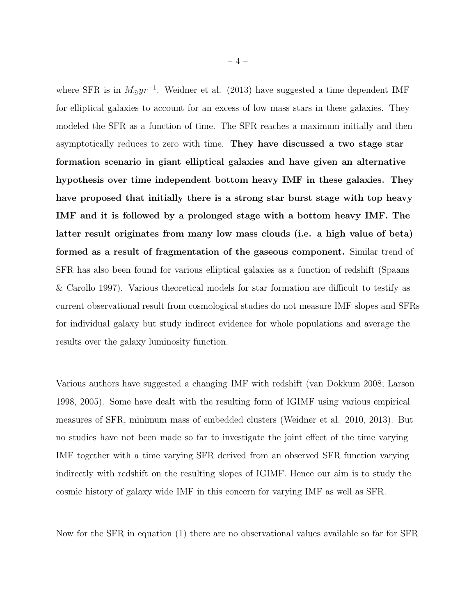where SFR is in  $M_{\odot}yr^{-1}$ . Weidner et al. (2013) have suggested a time dependent IMF for elliptical galaxies to account for an excess of low mass stars in these galaxies. They modeled the SFR as a function of time. The SFR reaches a maximum initially and then asymptotically reduces to zero with time. They have discussed a two stage star formation scenario in giant elliptical galaxies and have given an alternative hypothesis over time independent bottom heavy IMF in these galaxies. They have proposed that initially there is a strong star burst stage with top heavy IMF and it is followed by a prolonged stage with a bottom heavy IMF. The latter result originates from many low mass clouds (i.e. a high value of beta) formed as a result of fragmentation of the gaseous component. Similar trend of SFR has also been found for various elliptical galaxies as a function of redshift (Spaans & Carollo 1997). Various theoretical models for star formation are difficult to testify as current observational result from cosmological studies do not measure IMF slopes and SFRs for individual galaxy but study indirect evidence for whole populations and average the results over the galaxy luminosity function.

Various authors have suggested a changing IMF with redshift (van Dokkum 2008; Larson 1998, 2005). Some have dealt with the resulting form of IGIMF using various empirical measures of SFR, minimum mass of embedded clusters (Weidner et al. 2010, 2013). But no studies have not been made so far to investigate the joint effect of the time varying IMF together with a time varying SFR derived from an observed SFR function varying indirectly with redshift on the resulting slopes of IGIMF. Hence our aim is to study the cosmic history of galaxy wide IMF in this concern for varying IMF as well as SFR.

Now for the SFR in equation (1) there are no observational values available so far for SFR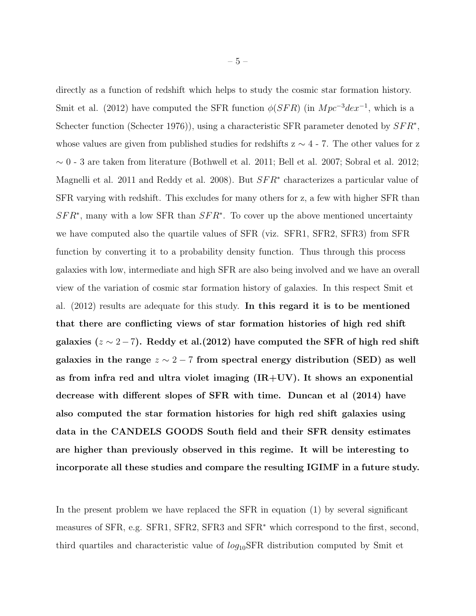directly as a function of redshift which helps to study the cosmic star formation history. Smit et al. (2012) have computed the SFR function  $\phi(SFR)$  (in  $Mpc^{-3}dex^{-1}$ , which is a Schecter function (Schecter 1976)), using a characteristic SFR parameter denoted by  $SFR^*$ , whose values are given from published studies for redshifts  $z \sim 4$  - 7. The other values for z  $\sim$ 0 - 3 are taken from literature (Bothwell et al. 2011; Bell et al. 2007; Sobral et al. 2012; Magnelli et al. 2011 and Reddy et al. 2008). But  $SFR<sup>*</sup>$  characterizes a particular value of SFR varying with redshift. This excludes for many others for z, a few with higher SFR than  $SFR<sup>*</sup>$ , many with a low SFR than  $SFR<sup>*</sup>$ . To cover up the above mentioned uncertainty we have computed also the quartile values of SFR (viz. SFR1, SFR2, SFR3) from SFR function by converting it to a probability density function. Thus through this process galaxies with low, intermediate and high SFR are also being involved and we have an overall view of the variation of cosmic star formation history of galaxies. In this respect Smit et al. (2012) results are adequate for this study. In this regard it is to be mentioned that there are conflicting views of star formation histories of high red shift galaxies ( $z \sim 2 - 7$ ). Reddy et al.(2012) have computed the SFR of high red shift galaxies in the range  $z \sim 2 - 7$  from spectral energy distribution (SED) as well as from infra red and ultra violet imaging  $(IR+UV)$ . It shows an exponential decrease with different slopes of SFR with time. Duncan et al (2014) have also computed the star formation histories for high red shift galaxies using data in the CANDELS GOODS South field and their SFR density estimates are higher than previously observed in this regime. It will be interesting to incorporate all these studies and compare the resulting IGIMF in a future study.

In the present problem we have replaced the SFR in equation (1) by several significant measures of SFR, e.g. SFR1, SFR2, SFR3 and SFR<sup>∗</sup> which correspond to the first, second, third quartiles and characteristic value of  $log_{10}SFR$  distribution computed by Smit et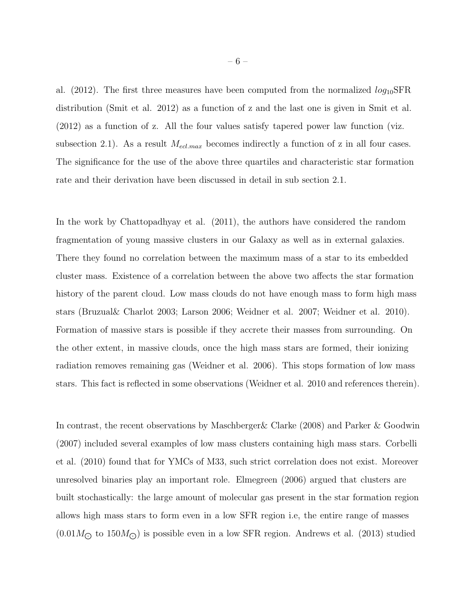al. (2012). The first three measures have been computed from the normalized  $log_{10}SFR$ distribution (Smit et al. 2012) as a function of z and the last one is given in Smit et al. (2012) as a function of z. All the four values satisfy tapered power law function (viz. subsection 2.1). As a result  $M_{ecl,max}$  becomes indirectly a function of z in all four cases. The significance for the use of the above three quartiles and characteristic star formation rate and their derivation have been discussed in detail in sub section 2.1.

In the work by Chattopadhyay et al. (2011), the authors have considered the random fragmentation of young massive clusters in our Galaxy as well as in external galaxies. There they found no correlation between the maximum mass of a star to its embedded cluster mass. Existence of a correlation between the above two affects the star formation history of the parent cloud. Low mass clouds do not have enough mass to form high mass stars (Bruzual& Charlot 2003; Larson 2006; Weidner et al. 2007; Weidner et al. 2010). Formation of massive stars is possible if they accrete their masses from surrounding. On the other extent, in massive clouds, once the high mass stars are formed, their ionizing radiation removes remaining gas (Weidner et al. 2006). This stops formation of low mass stars. This fact is reflected in some observations (Weidner et al. 2010 and references therein).

In contrast, the recent observations by Maschberger& Clarke (2008) and Parker & Goodwin (2007) included several examples of low mass clusters containing high mass stars. Corbelli et al. (2010) found that for YMCs of M33, such strict correlation does not exist. Moreover unresolved binaries play an important role. Elmegreen (2006) argued that clusters are built stochastically: the large amount of molecular gas present in the star formation region allows high mass stars to form even in a low SFR region i.e, the entire range of masses  $(0.01M_{\odot}$  to 150 $M_{\odot}$ ) is possible even in a low SFR region. Andrews et al. (2013) studied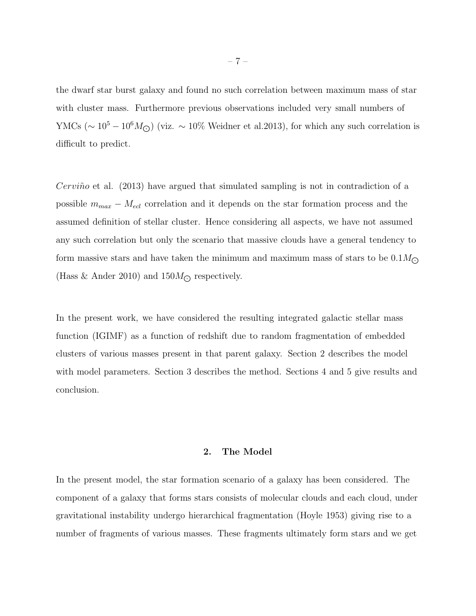the dwarf star burst galaxy and found no such correlation between maximum mass of star with cluster mass. Furthermore previous observations included very small numbers of YMCs ( $\sim 10^5 - 10^6 M_{\odot}$ ) (viz.  $\sim 10\%$  Weidner et al.2013), for which any such correlation is difficult to predict.

*Cerviño* et al. (2013) have argued that simulated sampling is not in contradiction of a possible  $m_{max} - M_{ecl}$  correlation and it depends on the star formation process and the assumed definition of stellar cluster. Hence considering all aspects, we have not assumed any such correlation but only the scenario that massive clouds have a general tendency to form massive stars and have taken the minimum and maximum mass of stars to be  $0.1 M_{\odot}$ (Hass & Ander 2010) and  $150M_{\odot}$  respectively.

In the present work, we have considered the resulting integrated galactic stellar mass function (IGIMF) as a function of redshift due to random fragmentation of embedded clusters of various masses present in that parent galaxy. Section 2 describes the model with model parameters. Section 3 describes the method. Sections 4 and 5 give results and conclusion.

### 2. The Model

In the present model, the star formation scenario of a galaxy has been considered. The component of a galaxy that forms stars consists of molecular clouds and each cloud, under gravitational instability undergo hierarchical fragmentation (Hoyle 1953) giving rise to a number of fragments of various masses. These fragments ultimately form stars and we get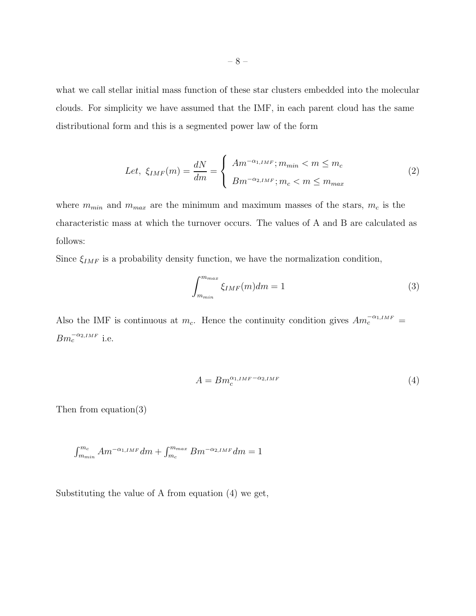what we call stellar initial mass function of these star clusters embedded into the molecular clouds. For simplicity we have assumed that the IMF, in each parent cloud has the same distributional form and this is a segmented power law of the form

$$
Let, \xi_{IMF}(m) = \frac{dN}{dm} = \begin{cases} Am^{-\alpha_{1,IMF}}; m_{min} < m \le m_c \\ Bm^{-\alpha_{2,IMF}}; m_c < m \le m_{max} \end{cases}
$$
 (2)

where  $m_{min}$  and  $m_{max}$  are the minimum and maximum masses of the stars,  $m_c$  is the characteristic mass at which the turnover occurs. The values of A and B are calculated as follows:

Since  $\xi_{IMF}$  is a probability density function, we have the normalization condition,

$$
\int_{m_{min}}^{m_{max}} \xi_{IMF}(m) dm = 1
$$
\n(3)

Also the IMF is continuous at  $m_c$ . Hence the continuity condition gives  $Am_c^{-\alpha_{1,IMF}}$  =  $Bm_c^{-\alpha_{2,IMF}}$  i.e.

$$
A = B m_c^{\alpha_{1,IMF} - \alpha_{2,IMF}} \tag{4}
$$

Then from equation(3)

$$
\int_{m_{min}}^{m_c} Am^{-\alpha_{1,IMF}}dm + \int_{m_c}^{m_{max}} Bm^{-\alpha_{2,IMF}}dm = 1
$$

Substituting the value of A from equation (4) we get,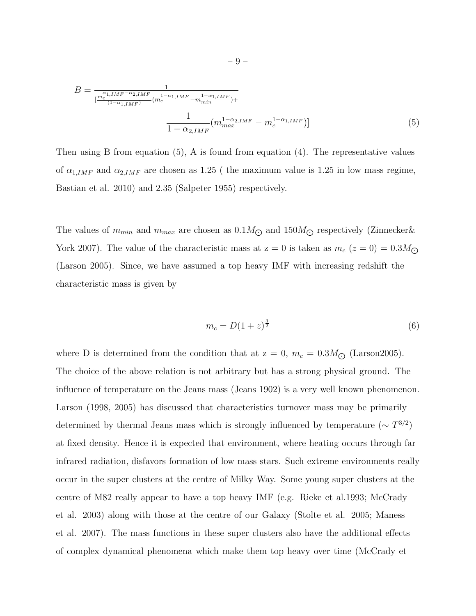$$
B = \frac{1}{\left[\frac{m_c^{\alpha_{1,IMF} - \alpha_{2,IMF}}}{(1 - \alpha_{1,IMF})}(m_c^{1 - \alpha_{1,IMF}} - m_{min}^{1 - \alpha_{1,IMF}})\right]} + \frac{1}{1 - \alpha_{2,IMF}}(m_{max}^{1 - \alpha_{2,IMF}} - m_c^{1 - \alpha_{1,IMF}})\right]
$$
(5)

Then using B from equation (5), A is found from equation (4). The representative values of  $\alpha_{1,IMF}$  and  $\alpha_{2,IMF}$  are chosen as 1.25 ( the maximum value is 1.25 in low mass regime, Bastian et al. 2010) and 2.35 (Salpeter 1955) respectively.

The values of  $m_{min}$  and  $m_{max}$  are chosen as  $0.1M_{\odot}$  and  $150M_{\odot}$  respectively (Zinnecker & York 2007). The value of the characteristic mass at  $z = 0$  is taken as  $m_c$  ( $z = 0$ ) = 0.3M<sub> $\odot$ </sub> (Larson 2005). Since, we have assumed a top heavy IMF with increasing redshift the characteristic mass is given by

$$
m_c = D(1+z)^{\frac{3}{2}} \tag{6}
$$

where D is determined from the condition that at  $z = 0$ ,  $m_c = 0.3 M_{\odot}$  (Larson2005). The choice of the above relation is not arbitrary but has a strong physical ground. The influence of temperature on the Jeans mass (Jeans 1902) is a very well known phenomenon. Larson (1998, 2005) has discussed that characteristics turnover mass may be primarily determined by thermal Jeans mass which is strongly influenced by temperature  $({\sim T^{3/2}})$ at fixed density. Hence it is expected that environment, where heating occurs through far infrared radiation, disfavors formation of low mass stars. Such extreme environments really occur in the super clusters at the centre of Milky Way. Some young super clusters at the centre of M82 really appear to have a top heavy IMF (e.g. Rieke et al.1993; McCrady et al. 2003) along with those at the centre of our Galaxy (Stolte et al. 2005; Maness et al. 2007). The mass functions in these super clusters also have the additional effects of complex dynamical phenomena which make them top heavy over time (McCrady et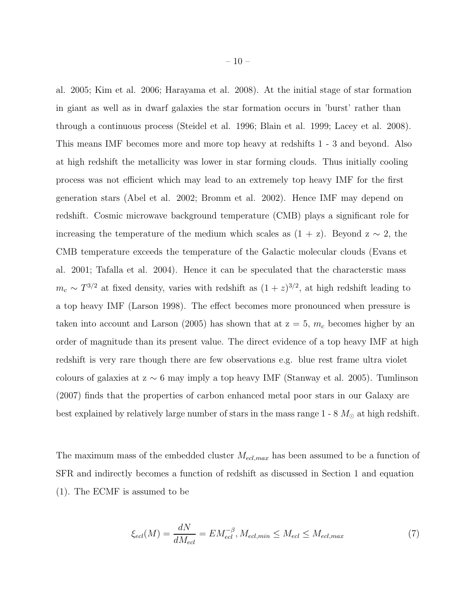al. 2005; Kim et al. 2006; Harayama et al. 2008). At the initial stage of star formation in giant as well as in dwarf galaxies the star formation occurs in 'burst' rather than through a continuous process (Steidel et al. 1996; Blain et al. 1999; Lacey et al. 2008). This means IMF becomes more and more top heavy at redshifts 1 - 3 and beyond. Also at high redshift the metallicity was lower in star forming clouds. Thus initially cooling process was not efficient which may lead to an extremely top heavy IMF for the first generation stars (Abel et al. 2002; Bromm et al. 2002). Hence IMF may depend on redshift. Cosmic microwave background temperature (CMB) plays a significant role for increasing the temperature of the medium which scales as  $(1 + z)$ . Beyond  $z \sim 2$ , the CMB temperature exceeds the temperature of the Galactic molecular clouds (Evans et al. 2001; Tafalla et al. 2004). Hence it can be speculated that the characterstic mass  $m_c \sim T^{3/2}$  at fixed density, varies with redshift as  $(1+z)^{3/2}$ , at high redshift leading to a top heavy IMF (Larson 1998). The effect becomes more pronounced when pressure is taken into account and Larson (2005) has shown that at  $z = 5$ ,  $m_c$  becomes higher by an order of magnitude than its present value. The direct evidence of a top heavy IMF at high redshift is very rare though there are few observations e.g. blue rest frame ultra violet colours of galaxies at  $z \sim 6$  may imply a top heavy IMF (Stanway et al. 2005). Tumlinson (2007) finds that the properties of carbon enhanced metal poor stars in our Galaxy are best explained by relatively large number of stars in the mass range  $1 - 8 M_{\odot}$  at high redshift.

The maximum mass of the embedded cluster  $M_{ecl,max}$  has been assumed to be a function of SFR and indirectly becomes a function of redshift as discussed in Section 1 and equation (1). The ECMF is assumed to be

$$
\xi_{ecl}(M) = \frac{dN}{dM_{ecl}} = EM_{ecl}^{-\beta}, \quad M_{ecl,min} \leq M_{ecl} \leq M_{ecl,max} \tag{7}
$$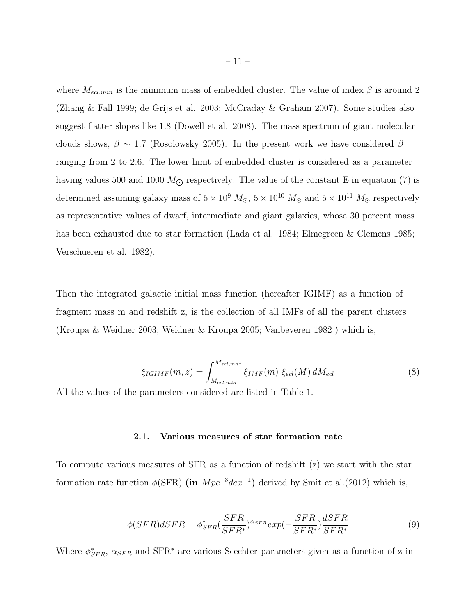where  $M_{ecl,min}$  is the minimum mass of embedded cluster. The value of index  $\beta$  is around 2 (Zhang & Fall 1999; de Grijs et al. 2003; McCraday & Graham 2007). Some studies also suggest flatter slopes like 1.8 (Dowell et al. 2008). The mass spectrum of giant molecular clouds shows,  $\beta \sim 1.7$  (Rosolowsky 2005). In the present work we have considered  $\beta$ ranging from 2 to 2.6. The lower limit of embedded cluster is considered as a parameter having values 500 and 1000  $M_{\odot}$  respectively. The value of the constant E in equation (7) is determined assuming galaxy mass of  $5 \times 10^9$   $M_{\odot}$ ,  $5 \times 10^{10}$   $M_{\odot}$  and  $5 \times 10^{11}$   $M_{\odot}$  respectively as representative values of dwarf, intermediate and giant galaxies, whose 30 percent mass has been exhausted due to star formation (Lada et al. 1984; Elmegreen & Clemens 1985; Verschueren et al. 1982).

Then the integrated galactic initial mass function (hereafter IGIMF) as a function of fragment mass m and redshift z, is the collection of all IMFs of all the parent clusters (Kroupa & Weidner 2003; Weidner & Kroupa 2005; Vanbeveren 1982 ) which is,

$$
\xi_{IGIMF}(m,z) = \int_{M_{ecl,min}}^{M_{ecl,max}} \xi_{IMF}(m) \xi_{ecl}(M) dM_{ecl}
$$
\n(8)

All the values of the parameters considered are listed in Table 1.

## 2.1. Various measures of star formation rate

To compute various measures of SFR as a function of redshift (z) we start with the star formation rate function  $\phi(\text{SFR})$  (in  $Mpc^{-3}dex^{-1}$ ) derived by Smit et al.(2012) which is,

$$
\phi(SFR)dSFR = \phi_{SFR}^* \left(\frac{SFR}{SFR^*}\right)^{\alpha_{SFR}} exp\left(-\frac{SFR}{SFR^*}\right) \frac{dSFR}{SFR^*}
$$
(9)

Where  $\phi_{SFR}^*$ ,  $\alpha_{SFR}$  and SFR<sup>\*</sup> are various Scechter parameters given as a function of z in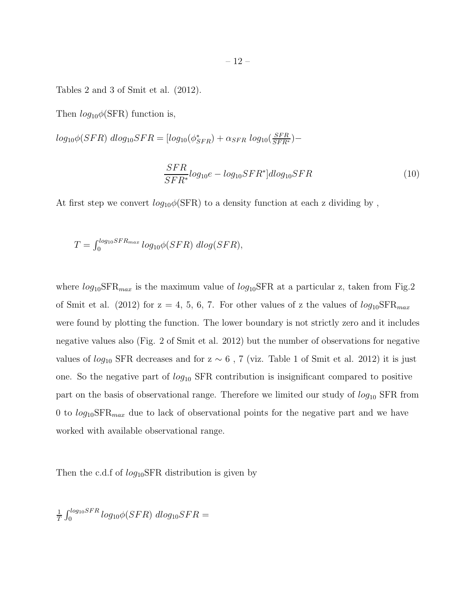Tables 2 and 3 of Smit et al. (2012).

Then  $log_{10}\phi(\text{SFR})$  function is,

 $log_{10}\phi(SFR) \ dlog_{10}SFR = [log_{10}(\phi_{SFR}^{*}) + \alpha_{SFR} \ log_{10}(\frac{SFR}{SFR^{*}})-$ 

$$
\frac{SFR}{SFR^*} log_{10}e - log_{10}SFR^*]dlog_{10}SFR
$$
\n(10)

At first step we convert  $log_{10}\phi(\text{SFR})$  to a density function at each z dividing by,

$$
T = \int_0^{\log_{10} SFR_{max}} log_{10} \phi(SFR) dlog(SFR),
$$

where  $log_{10}SFR_{max}$  is the maximum value of  $log_{10}SFR$  at a particular z, taken from Fig.2 of Smit et al. (2012) for  $z = 4, 5, 6, 7$ . For other values of z the values of  $log_{10}SFR_{max}$ were found by plotting the function. The lower boundary is not strictly zero and it includes negative values also (Fig. 2 of Smit et al. 2012) but the number of observations for negative values of  $log_{10}$  SFR decreases and for z ~ 6, 7 (viz. Table 1 of Smit et al. 2012) it is just one. So the negative part of  $log_{10}$  SFR contribution is insignificant compared to positive part on the basis of observational range. Therefore we limited our study of  $log_{10}$  SFR from 0 to  $log_{10}SFR_{max}$  due to lack of observational points for the negative part and we have worked with available observational range.

Then the c.d.f of  $log_{10}$ SFR distribution is given by

$$
\frac{1}{T} \int_0^{\log_{10} SFR} \log_{10} \phi(SFR) \ d\log_{10} SFR =
$$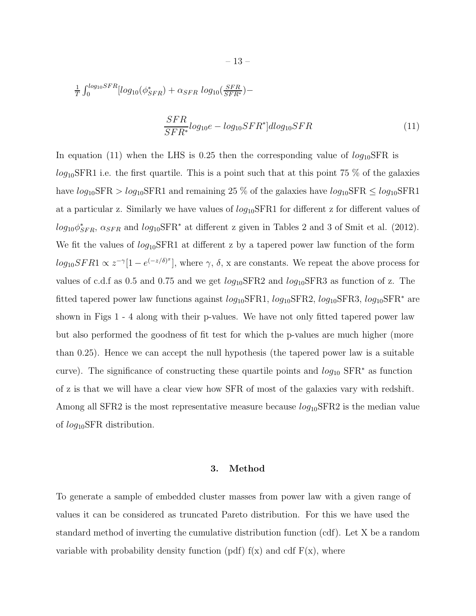$$
\frac{1}{T} \int_0^{\log_{10} SFR} [\log_{10}(\phi_{SFR}^*) + \alpha_{SFR} \log_{10}(\frac{SFR}{SFR^*}) -
$$

$$
\frac{SFR}{SFR^*} log_{10}e - log_{10}SFR^*] dlog_{10}SFR
$$
\n(11)

In equation (11) when the LHS is 0.25 then the corresponding value of  $log_{10}SFR$  is  $log_{10}$ SFR1 i.e. the first quartile. This is a point such that at this point 75 % of the galaxies have  $log_{10}SFR > log_{10}SFR1$  and remaining 25 % of the galaxies have  $log_{10}SFR \le log_{10}SFR1$ at a particular z. Similarly we have values of  $log_{10}SFR1$  for different z for different values of  $log_{10}\phi_{SFR}^*$ ,  $\alpha_{SFR}$  and  $log_{10}SFR^*$  at different z given in Tables 2 and 3 of Smit et al. (2012). We fit the values of  $log_{10}SFR1$  at different z by a tapered power law function of the form  $log_{10}SFR1 \propto z^{-\gamma}[1 - e^{(-z/\delta)^x}]$ , where  $\gamma$ ,  $\delta$ , x are constants. We repeat the above process for values of c.d.f as 0.5 and 0.75 and we get  $log_{10}$ SFR2 and  $log_{10}$ SFR3 as function of z. The fitted tapered power law functions against  $log_{10}SFR1$ ,  $log_{10}SFR2$ ,  $log_{10}SFR3$ ,  $log_{10}SFR^*$  are shown in Figs 1 - 4 along with their p-values. We have not only fitted tapered power law but also performed the goodness of fit test for which the p-values are much higher (more than 0.25). Hence we can accept the null hypothesis (the tapered power law is a suitable curve). The significance of constructing these quartile points and  $log_{10}$  SFR<sup>\*</sup> as function of z is that we will have a clear view how SFR of most of the galaxies vary with redshift. Among all SFR2 is the most representative measure because  $log_{10}$ SFR2 is the median value of log10SFR distribution.

#### 3. Method

To generate a sample of embedded cluster masses from power law with a given range of values it can be considered as truncated Pareto distribution. For this we have used the standard method of inverting the cumulative distribution function (cdf). Let X be a random variable with probability density function (pdf)  $f(x)$  and cdf  $F(x)$ , where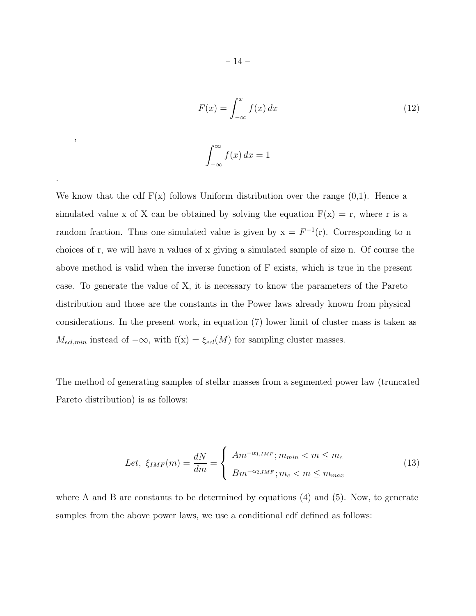$$
F(x) = \int_{-\infty}^{x} f(x) dx
$$
\n
$$
\int_{-\infty}^{\infty} f(x) dx = 1
$$
\n(12)

We know that the cdf  $F(x)$  follows Uniform distribution over the range  $(0,1)$ . Hence a simulated value x of X can be obtained by solving the equation  $F(x) = r$ , where r is a random fraction. Thus one simulated value is given by  $x = F^{-1}(r)$ . Corresponding to n choices of r, we will have n values of x giving a simulated sample of size n. Of course the above method is valid when the inverse function of F exists, which is true in the present case. To generate the value of X, it is necessary to know the parameters of the Pareto distribution and those are the constants in the Power laws already known from physical considerations. In the present work, in equation (7) lower limit of cluster mass is taken as  $M_{ecl,min}$  instead of  $-\infty$ , with  $f(x) = \xi_{ecl}(M)$  for sampling cluster masses.

The method of generating samples of stellar masses from a segmented power law (truncated Pareto distribution) is as follows:

Let, 
$$
\xi_{IMF}(m) = \frac{dN}{dm} = \begin{cases} Am^{-\alpha_{1,IMF}}; m_{min} < m \le m_c \\ Bm^{-\alpha_{2,IMF}}; m_c < m \le m_{max} \end{cases}
$$
 (13)

where A and B are constants to be determined by equations (4) and (5). Now, to generate samples from the above power laws, we use a conditional cdf defined as follows:

,

.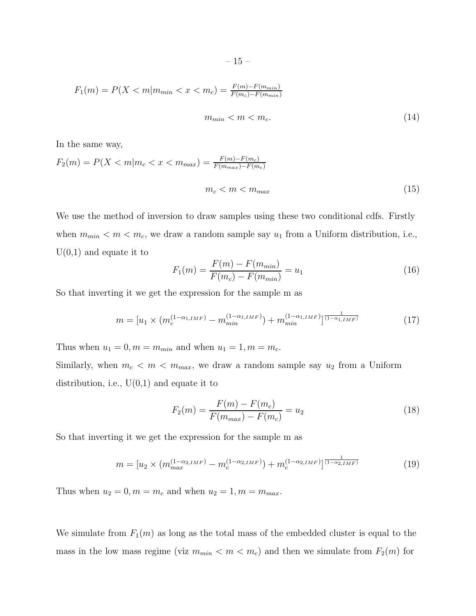$$
-15- \nonumber\\
$$

$$
F_1(m) = P(X < m | m_{\min} < x < m_c) = \frac{F(m) - F(m_{\min})}{F(m_c) - F(m_{\min})}
$$

$$
m_{min} < m < m_c. \tag{14}
$$

In the same way,

$$
F_2(m) = P(X < m | m_c < x < m_{\max}) = \frac{F(m) - F(m_c)}{F(m_{\max}) - F(m_c)}
$$
\n
$$
m_c < m < m_{\max} \tag{15}
$$

We use the method of inversion to draw samples using these two conditional cdfs. Firstly when  $m_{min} < m < m_c$ , we draw a random sample say  $u_1$  from a Uniform distribution, i.e.,  $U(0,1)$  and equate it to

$$
F_1(m) = \frac{F(m) - F(m_{min})}{F(m_c) - F(m_{min})} = u_1
$$
\n(16)

So that inverting it we get the expression for the sample m as

$$
m = [u_1 \times (m_c^{(1-\alpha_{1,IMF})} - m_{min}^{(1-\alpha_{1,IMF})}) + m_{min}^{(1-\alpha_{1,IMF})}]^{\frac{1}{(1-\alpha_{1,IMF})}}
$$
(17)

Thus when  $u_1 = 0$ ,  $m = m_{min}$  and when  $u_1 = 1$ ,  $m = m_c$ .

Similarly, when  $m_c < m < m_{max}$ , we draw a random sample say  $u_2$  from a Uniform distribution, i.e.,  $U(0,1)$  and equate it to

$$
F_2(m) = \frac{F(m) - F(m_c)}{F(m_{max}) - F(m_c)} = u_2
$$
\n(18)

So that inverting it we get the expression for the sample m as

$$
m = [u_2 \times (m_{max}^{(1-\alpha_{2,IMF})} - m_c^{(1-\alpha_{2,IMF})}) + m_c^{(1-\alpha_{2,IMF})}]^{\frac{1}{(1-\alpha_{2,IMF})}}
$$
(19)

Thus when  $u_2 = 0, m = m_c$  and when  $u_2 = 1, m = m_{max}$ .

We simulate from  $F_1(m)$  as long as the total mass of the embedded cluster is equal to the mass in the low mass regime (viz  $m_{min} < m < m_c$ ) and then we simulate from  $F_2(m)$  for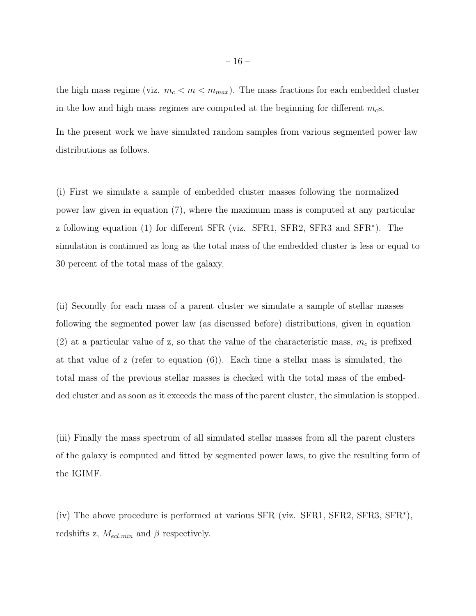the high mass regime (viz.  $m_c < m < m_{max}$ ). The mass fractions for each embedded cluster in the low and high mass regimes are computed at the beginning for different  $m<sub>c</sub>$ s.

In the present work we have simulated random samples from various segmented power law distributions as follows.

(i) First we simulate a sample of embedded cluster masses following the normalized power law given in equation (7), where the maximum mass is computed at any particular z following equation (1) for different SFR (viz. SFR1, SFR2, SFR3 and SFR<sup>\*</sup>). The simulation is continued as long as the total mass of the embedded cluster is less or equal to 30 percent of the total mass of the galaxy.

(ii) Secondly for each mass of a parent cluster we simulate a sample of stellar masses following the segmented power law (as discussed before) distributions, given in equation (2) at a particular value of z, so that the value of the characteristic mass,  $m_c$  is prefixed at that value of z (refer to equation  $(6)$ ). Each time a stellar mass is simulated, the total mass of the previous stellar masses is checked with the total mass of the embedded cluster and as soon as it exceeds the mass of the parent cluster, the simulation is stopped.

(iii) Finally the mass spectrum of all simulated stellar masses from all the parent clusters of the galaxy is computed and fitted by segmented power laws, to give the resulting form of the IGIMF.

(iv) The above procedure is performed at various SFR (viz. SFR1, SFR2, SFR3, SFR<sup>∗</sup> ), redshifts z,  $M_{ecl,min}$  and  $\beta$  respectively.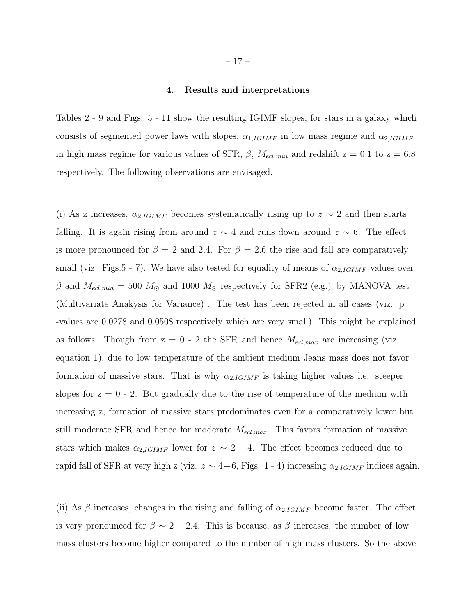#### 4. Results and interpretations

Tables 2 - 9 and Figs. 5 - 11 show the resulting IGIMF slopes, for stars in a galaxy which consists of segmented power laws with slopes,  $\alpha_{1,IGIMF}$  in low mass regime and  $\alpha_{2,IGIMF}$ in high mass regime for various values of SFR,  $\beta$ ,  $M_{ed,min}$  and redshift z = 0.1 to z = 6.8 respectively. The following observations are envisaged.

(i) As z increases,  $\alpha_{2,IGIMF}$  becomes systematically rising up to  $z \sim 2$  and then starts falling. It is again rising from around  $z \sim 4$  and runs down around  $z \sim 6$ . The effect is more pronounced for  $\beta = 2$  and 2.4. For  $\beta = 2.6$  the rise and fall are comparatively small (viz. Figs.5 - 7). We have also tested for equality of means of  $\alpha_{2,IGIMF}$  values over β and  $M_{ed,min} = 500 M_{\odot}$  and 1000  $M_{\odot}$  respectively for SFR2 (e.g.) by MANOVA test (Multivariate Anakysis for Variance) . The test has been rejected in all cases (viz. p -values are 0.0278 and 0.0508 respectively which are very small). This might be explained as follows. Though from  $z = 0$  - 2 the SFR and hence  $M_{ecl,max}$  are increasing (viz. equation 1), due to low temperature of the ambient medium Jeans mass does not favor formation of massive stars. That is why  $\alpha_{2,IGIMF}$  is taking higher values i.e. steeper slopes for  $z = 0 - 2$ . But gradually due to the rise of temperature of the medium with increasing z, formation of massive stars predominates even for a comparatively lower but still moderate SFR and hence for moderate  $M_{ecl,max}$ . This favors formation of massive stars which makes  $\alpha_{2,IGIMF}$  lower for  $z \sim 2 - 4$ . The effect becomes reduced due to rapid fall of SFR at very high z (viz.  $z \sim 4-6$ , Figs. 1 - 4) increasing  $\alpha_{2,IGIMF}$  indices again.

(ii) As  $\beta$  increases, changes in the rising and falling of  $\alpha_{2,IGIMF}$  become faster. The effect is very pronounced for  $\beta \sim 2 - 2.4$ . This is because, as  $\beta$  increases, the number of low mass clusters become higher compared to the number of high mass clusters. So the above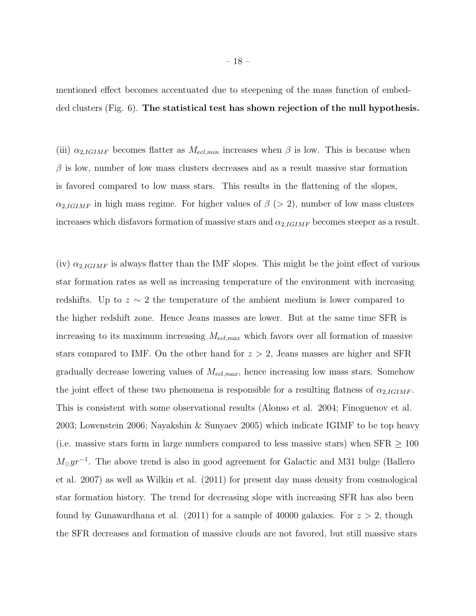mentioned effect becomes accentuated due to steepening of the mass function of embedded clusters (Fig. 6). The statistical test has shown rejection of the null hypothesis.

(iii)  $\alpha_{2,IGIMF}$  becomes flatter as  $M_{ecl,min}$  increases when  $\beta$  is low. This is because when  $\beta$  is low, number of low mass clusters decreases and as a result massive star formation is favored compared to low mass stars. This results in the flattening of the slopes,  $\alpha_{2,IGIMF}$  in high mass regime. For higher values of  $\beta$  (> 2), number of low mass clusters increases which disfavors formation of massive stars and  $\alpha_{2,IGIMF}$  becomes steeper as a result.

(iv)  $\alpha_{2,IGIMF}$  is always flatter than the IMF slopes. This might be the joint effect of various star formation rates as well as increasing temperature of the environment with increasing redshifts. Up to  $z \sim 2$  the temperature of the ambient medium is lower compared to the higher redshift zone. Hence Jeans masses are lower. But at the same time SFR is increasing to its maximum increasing  $M_{ecl,max}$  which favors over all formation of massive stars compared to IMF. On the other hand for  $z > 2$ , Jeans masses are higher and SFR gradually decrease lowering values of  $M_{ecl,max}$ , hence increasing low mass stars. Somehow the joint effect of these two phenomena is responsible for a resulting flatness of  $\alpha_{2,IGIMF}$ . This is consistent with some observational results (Alonso et al. 2004; Finoguenov et al. 2003; Lowenstein 2006; Nayakshin & Sunyaev 2005) which indicate IGIMF to be top heavy (i.e. massive stars form in large numbers compared to less massive stars) when  $SFR \geq 100$  $M_{\odot}yr^{-1}$ . The above trend is also in good agreement for Galactic and M31 bulge (Ballero et al. 2007) as well as Wilkin et al. (2011) for present day mass density from cosmological star formation history. The trend for decreasing slope with increasing SFR has also been found by Gunawardhana et al. (2011) for a sample of 40000 galaxies. For  $z > 2$ , though the SFR decreases and formation of massive clouds are not favored, but still massive stars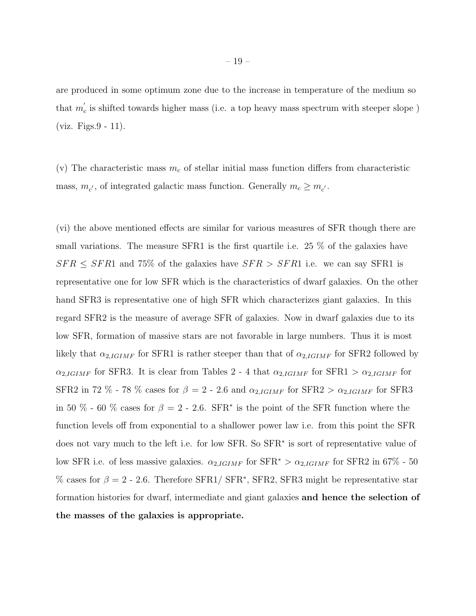are produced in some optimum zone due to the increase in temperature of the medium so that  $m'_{\epsilon}$  $c<sub>c</sub>$  is shifted towards higher mass (i.e. a top heavy mass spectrum with steeper slope) (viz. Figs.9 - 11).

(v) The characteristic mass  $m_c$  of stellar initial mass function differs from characteristic mass,  $m_{c'}$ , of integrated galactic mass function. Generally  $m_c \ge m_{c'}$ .

(vi) the above mentioned effects are similar for various measures of SFR though there are small variations. The measure SFR1 is the first quartile i.e. 25 % of the galaxies have  $SFR \leq SFR1$  and 75% of the galaxies have  $SFR > SFR1$  i.e. we can say SFR1 is representative one for low SFR which is the characteristics of dwarf galaxies. On the other hand SFR3 is representative one of high SFR which characterizes giant galaxies. In this regard SFR2 is the measure of average SFR of galaxies. Now in dwarf galaxies due to its low SFR, formation of massive stars are not favorable in large numbers. Thus it is most likely that  $\alpha_{2,IGIMF}$  for SFR1 is rather steeper than that of  $\alpha_{2,IGIMF}$  for SFR2 followed by  $\alpha_{2,IGIMF}$  for SFR3. It is clear from Tables 2 - 4 that  $\alpha_{2,IGIMF}$  for SFR1 >  $\alpha_{2,IGIMF}$  for SFR2 in 72 % - 78 % cases for  $\beta = 2$  - 2.6 and  $\alpha_{2,IGIMF}$  for SFR2 >  $\alpha_{2,IGIMF}$  for SFR3 in 50 % - 60 % cases for  $\beta = 2$  - 2.6. SFR<sup>\*</sup> is the point of the SFR function where the function levels off from exponential to a shallower power law i.e. from this point the SFR does not vary much to the left i.e. for low SFR. So SFR<sup>∗</sup> is sort of representative value of low SFR i.e. of less massive galaxies.  $\alpha_{2,IGIMF}$  for SFR<sup>\*</sup> >  $\alpha_{2,IGIMF}$  for SFR2 in 67% - 50 % cases for  $\beta = 2$  - 2.6. Therefore SFR1/ SFR<sup>\*</sup>, SFR2, SFR3 might be representative star formation histories for dwarf, intermediate and giant galaxies and hence the selection of the masses of the galaxies is appropriate.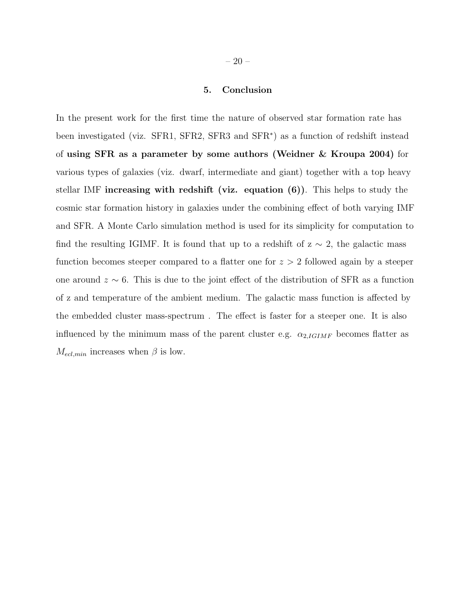#### 5. Conclusion

In the present work for the first time the nature of observed star formation rate has been investigated (viz. SFR1, SFR2, SFR3 and SFR<sup>\*</sup>) as a function of redshift instead of using SFR as a parameter by some authors (Weidner & Kroupa 2004) for various types of galaxies (viz. dwarf, intermediate and giant) together with a top heavy stellar IMF increasing with redshift (viz. equation  $(6)$ ). This helps to study the cosmic star formation history in galaxies under the combining effect of both varying IMF and SFR. A Monte Carlo simulation method is used for its simplicity for computation to find the resulting IGIMF. It is found that up to a redshift of  $z \sim 2$ , the galactic mass function becomes steeper compared to a flatter one for  $z > 2$  followed again by a steeper one around  $z \sim 6$ . This is due to the joint effect of the distribution of SFR as a function of z and temperature of the ambient medium. The galactic mass function is affected by the embedded cluster mass-spectrum . The effect is faster for a steeper one. It is also influenced by the minimum mass of the parent cluster e.g.  $\alpha_{2,IGIMF}$  becomes flatter as  $M_{ecl,min}$  increases when  $\beta$  is low.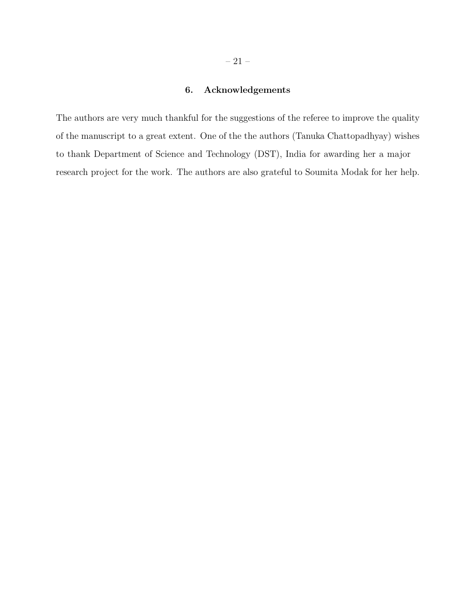## 6. Acknowledgements

The authors are very much thankful for the suggestions of the referee to improve the quality of the manuscript to a great extent. One of the the authors (Tanuka Chattopadhyay) wishes to thank Department of Science and Technology (DST), India for awarding her a major research project for the work. The authors are also grateful to Soumita Modak for her help.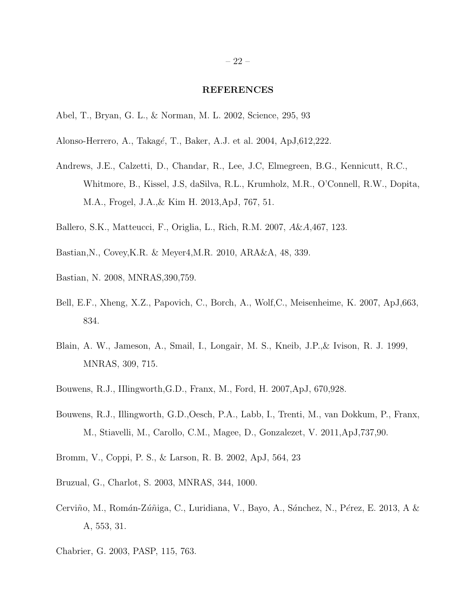#### REFERENCES

- Abel, T., Bryan, G. L., & Norman, M. L. 2002, Science, 295, 93
- Alonso-Herrero, A., Takagé, T., Baker, A.J. et al. 2004, ApJ,612,222.
- Andrews, J.E., Calzetti, D., Chandar, R., Lee, J.C, Elmegreen, B.G., Kennicutt, R.C., Whitmore, B., Kissel, J.S, daSilva, R.L., Krumholz, M.R., O'Connell, R.W., Dopita, M.A., Frogel, J.A.,& Kim H. 2013,ApJ, 767, 51.
- Ballero, S.K., Matteucci, F., Origlia, L., Rich, R.M. 2007, A&A,467, 123.
- Bastian,N., Covey,K.R. & Meyer4,M.R. 2010, ARA&A, 48, 339.
- Bastian, N. 2008, MNRAS,390,759.
- Bell, E.F., Xheng, X.Z., Papovich, C., Borch, A., Wolf,C., Meisenheime, K. 2007, ApJ,663, 834.
- Blain, A. W., Jameson, A., Smail, I., Longair, M. S., Kneib, J.P.,& Ivison, R. J. 1999, MNRAS, 309, 715.
- Bouwens, R.J., IIlingworth,G.D., Franx, M., Ford, H. 2007,ApJ, 670,928.
- Bouwens, R.J., Illingworth, G.D.,Oesch, P.A., Labb, I., Trenti, M., van Dokkum, P., Franx, M., Stiavelli, M., Carollo, C.M., Magee, D., Gonzalezet, V. 2011,ApJ,737,90.
- Bromm, V., Coppi, P. S., & Larson, R. B. 2002, ApJ, 564, 23
- Bruzual, G., Charlot, S. 2003, MNRAS, 344, 1000.
- Cerviño, M., Román-Zúñiga, C., Luridiana, V., Bayo, A., Sánchez, N., Pérez, E. 2013, A & A, 553, 31.
- Chabrier, G. 2003, PASP, 115, 763.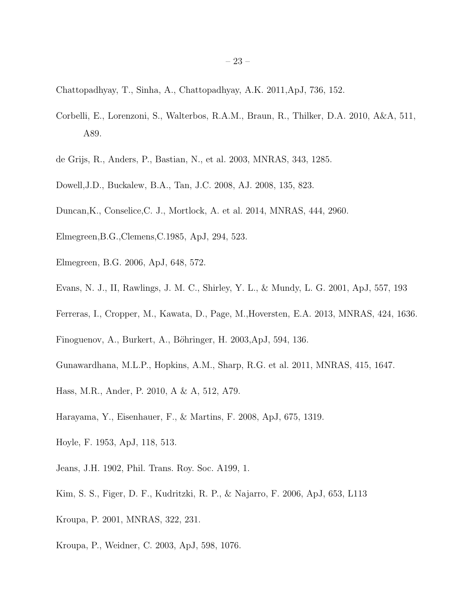Chattopadhyay, T., Sinha, A., Chattopadhyay, A.K. 2011,ApJ, 736, 152.

- Corbelli, E., Lorenzoni, S., Walterbos, R.A.M., Braun, R., Thilker, D.A. 2010, A&A, 511, A89.
- de Grijs, R., Anders, P., Bastian, N., et al. 2003, MNRAS, 343, 1285.
- Dowell,J.D., Buckalew, B.A., Tan, J.C. 2008, AJ. 2008, 135, 823.
- Duncan,K., Conselice,C. J., Mortlock, A. et al. 2014, MNRAS, 444, 2960.
- Elmegreen,B.G.,Clemens,C.1985, ApJ, 294, 523.
- Elmegreen, B.G. 2006, ApJ, 648, 572.
- Evans, N. J., II, Rawlings, J. M. C., Shirley, Y. L., & Mundy, L. G. 2001, ApJ, 557, 193
- Ferreras, I., Cropper, M., Kawata, D., Page, M.,Hoversten, E.A. 2013, MNRAS, 424, 1636.
- Finoguenov, A., Burkert, A., Böhringer, H. 2003, ApJ, 594, 136.
- Gunawardhana, M.L.P., Hopkins, A.M., Sharp, R.G. et al. 2011, MNRAS, 415, 1647.
- Hass, M.R., Ander, P. 2010, A & A, 512, A79.
- Harayama, Y., Eisenhauer, F., & Martins, F. 2008, ApJ, 675, 1319.
- Hoyle, F. 1953, ApJ, 118, 513.
- Jeans, J.H. 1902, Phil. Trans. Roy. Soc. A199, 1.
- Kim, S. S., Figer, D. F., Kudritzki, R. P., & Najarro, F. 2006, ApJ, 653, L113
- Kroupa, P. 2001, MNRAS, 322, 231.
- Kroupa, P., Weidner, C. 2003, ApJ, 598, 1076.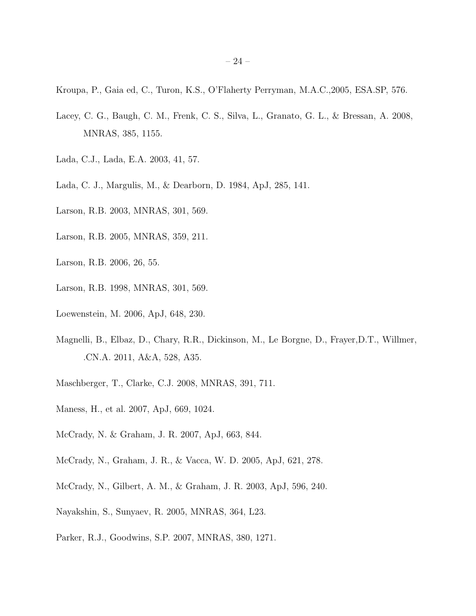Kroupa, P., Gaia ed, C., Turon, K.S., O'Flaherty Perryman, M.A.C.,2005, ESA.SP, 576.

- Lacey, C. G., Baugh, C. M., Frenk, C. S., Silva, L., Granato, G. L., & Bressan, A. 2008, MNRAS, 385, 1155.
- Lada, C.J., Lada, E.A. 2003, 41, 57.
- Lada, C. J., Margulis, M., & Dearborn, D. 1984, ApJ, 285, 141.
- Larson, R.B. 2003, MNRAS, 301, 569.
- Larson, R.B. 2005, MNRAS, 359, 211.
- Larson, R.B. 2006, 26, 55.
- Larson, R.B. 1998, MNRAS, 301, 569.
- Loewenstein, M. 2006, ApJ, 648, 230.
- Magnelli, B., Elbaz, D., Chary, R.R., Dickinson, M., Le Borgne, D., Frayer,D.T., Willmer, .CN.A. 2011, A&A, 528, A35.
- Maschberger, T., Clarke, C.J. 2008, MNRAS, 391, 711.
- Maness, H., et al. 2007, ApJ, 669, 1024.
- McCrady, N. & Graham, J. R. 2007, ApJ, 663, 844.
- McCrady, N., Graham, J. R., & Vacca, W. D. 2005, ApJ, 621, 278.
- McCrady, N., Gilbert, A. M., & Graham, J. R. 2003, ApJ, 596, 240.
- Nayakshin, S., Sunyaev, R. 2005, MNRAS, 364, L23.
- Parker, R.J., Goodwins, S.P. 2007, MNRAS, 380, 1271.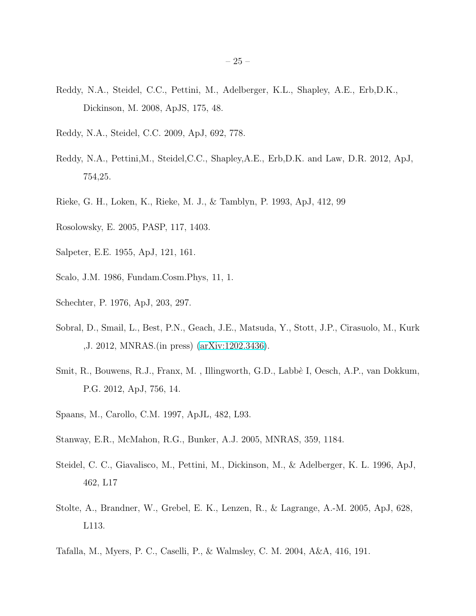- Reddy, N.A., Steidel, C.C., Pettini, M., Adelberger, K.L., Shapley, A.E., Erb,D.K., Dickinson, M. 2008, ApJS, 175, 48.
- Reddy, N.A., Steidel, C.C. 2009, ApJ, 692, 778.
- Reddy, N.A., Pettini,M., Steidel,C.C., Shapley,A.E., Erb,D.K. and Law, D.R. 2012, ApJ, 754,25.
- Rieke, G. H., Loken, K., Rieke, M. J., & Tamblyn, P. 1993, ApJ, 412, 99
- Rosolowsky, E. 2005, PASP, 117, 1403.
- Salpeter, E.E. 1955, ApJ, 121, 161.
- Scalo, J.M. 1986, Fundam.Cosm.Phys, 11, 1.
- Schechter, P. 1976, ApJ, 203, 297.
- Sobral, D., Smail, L., Best, P.N., Geach, J.E., Matsuda, Y., Stott, J.P., Cirasuolo, M., Kurk ,J. 2012, MNRAS.(in press) [\(arXiv:1202.3436\)](http://arxiv.org/abs/1202.3436).
- Smit, R., Bouwens, R.J., Franx, M., Illingworth, G.D., Labbè I, Oesch, A.P., van Dokkum, P.G. 2012, ApJ, 756, 14.
- Spaans, M., Carollo, C.M. 1997, ApJL, 482, L93.
- Stanway, E.R., McMahon, R.G., Bunker, A.J. 2005, MNRAS, 359, 1184.
- Steidel, C. C., Giavalisco, M., Pettini, M., Dickinson, M., & Adelberger, K. L. 1996, ApJ, 462, L17
- Stolte, A., Brandner, W., Grebel, E. K., Lenzen, R., & Lagrange, A.-M. 2005, ApJ, 628, L113.
- Tafalla, M., Myers, P. C., Caselli, P., & Walmsley, C. M. 2004, A&A, 416, 191.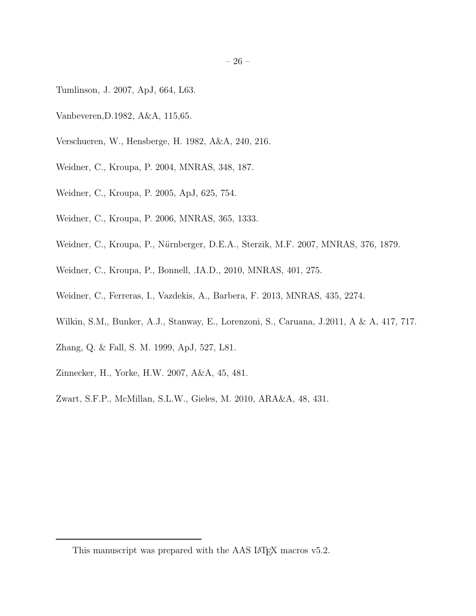- Tumlinson, J. 2007, ApJ, 664, L63.
- Vanbeveren,D.1982, A&A, 115,65.
- Verschueren, W., Hensberge, H. 1982, A&A, 240, 216.
- Weidner, C., Kroupa, P. 2004, MNRAS, 348, 187.
- Weidner, C., Kroupa, P. 2005, ApJ, 625, 754.
- Weidner, C., Kroupa, P. 2006, MNRAS, 365, 1333.
- Weidner, C., Kroupa, P., Nürnberger, D.E.A., Sterzik, M.F. 2007, MNRAS, 376, 1879.
- Weidner, C., Kroupa, P., Bonnell, .IA.D., 2010, MNRAS, 401, 275.
- Weidner, C., Ferreras, I., Vazdekis, A., Barbera, F. 2013, MNRAS, 435, 2274.
- Wilkin, S.M,, Bunker, A.J., Stanway, E., Lorenzoni, S., Caruana, J.2011, A & A, 417, 717.
- Zhang, Q. & Fall, S. M. 1999, ApJ, 527, L81.
- Zinnecker, H., Yorke, H.W. 2007, A&A, 45, 481.
- Zwart, S.F.P., McMillan, S.L.W., Gieles, M. 2010, ARA&A, 48, 431.

This manuscript was prepared with the AAS IAT<sub>E</sub>X macros v5.2.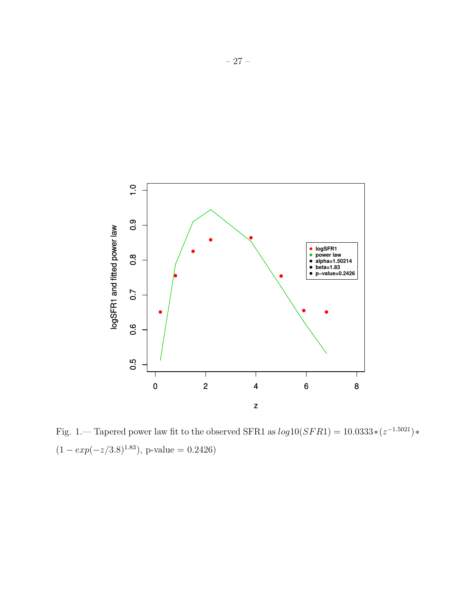

Fig. 1.— Tapered power law fit to the observed SFR1 as  $log 10(SFR1) = 10.0333*(z^{-1.5021})*$  $(1 - exp(-z/3.8)^{1.83})$ , p-value = 0.2426)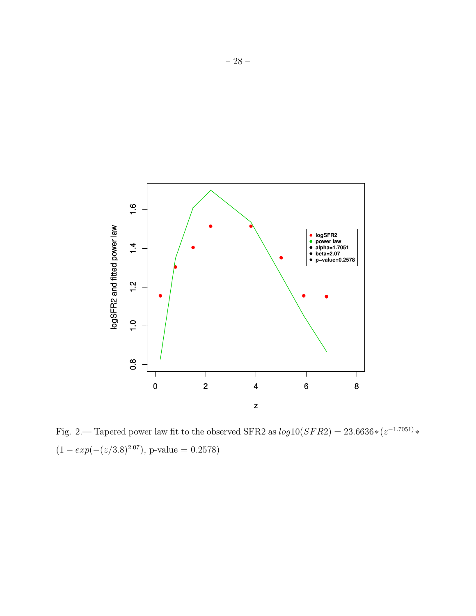

Fig. 2.— Tapered power law fit to the observed SFR2 as  $log 10(SFR2) = 23.6636*(z^{-1.7051})*$  $(1 - exp(-(z/3.8)^{2.07})$ , p-value = 0.2578)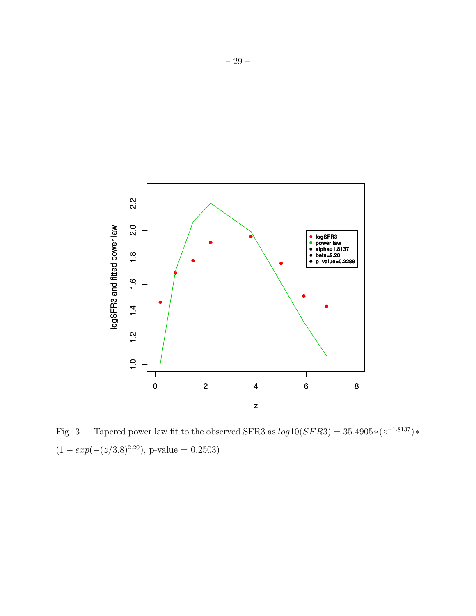

Fig. 3.— Tapered power law fit to the observed SFR3 as  $log 10(SFR3) = 35.4905*(z^{-1.8137})*$  $(1 - exp(-(z/3.8)^{2.20})$ , p-value = 0.2503)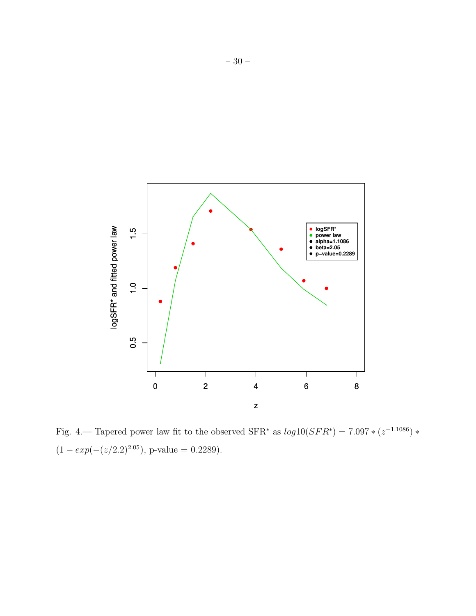

Fig. 4.— Tapered power law fit to the observed SFR<sup>\*</sup> as  $log 10(SFR^*) = 7.097 * (z^{-1.1086}) *$  $(1 - exp(-(z/2.2)^{2.05})$ , p-value = 0.2289).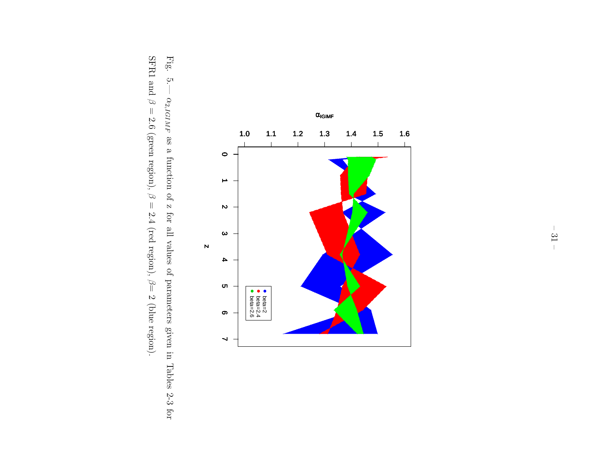

Fig. 5.—  $\alpha_{2,IGIMF}$ as a function of z for all values of parameters given in Tables 2-3 for SFR1 and  $\varnothing$  $= 2.6$  (green region),  $\varnothing$  $= 2.4$  (red region), β $= 2$  (blue region).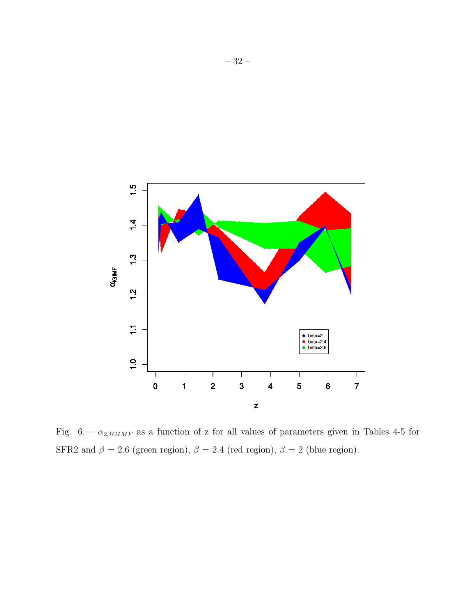

Fig. 6.—  $\alpha_{2,IGIMF}$  as a function of z for all values of parameters given in Tables 4-5 for SFR2 and  $\beta = 2.6$  (green region),  $\beta = 2.4$  (red region),  $\beta = 2$  (blue region).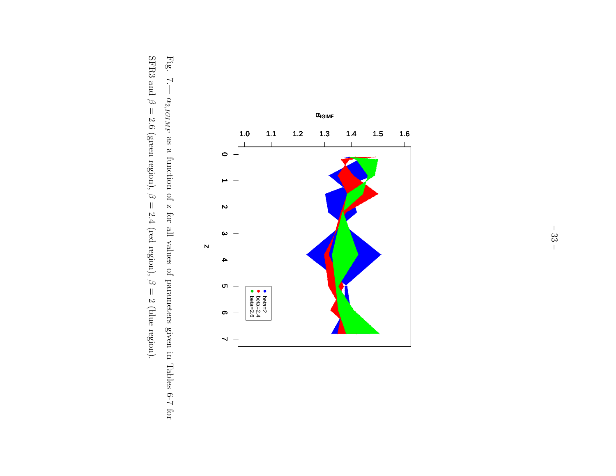

Fig. 7.—  $\alpha_{2,IGIMF}$ as a function of z for all values of parameters given in Tables 6-7 for SFR3 and  $\varnothing$  $= 2.6$  (green region),  $\varnothing$  $= 2.4$  (red region), β  $= 2$  (blue region).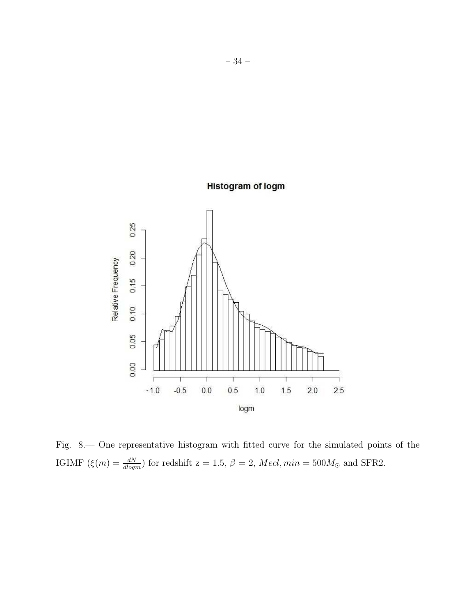

Fig. 8.— One representative histogram with fitted curve for the simulated points of the IGIMF  $(\xi(m) = \frac{dN}{dlogm})$  for redshift  $z = 1.5$ ,  $\beta = 2$ ,  $Med, min = 500M_{\odot}$  and SFR2.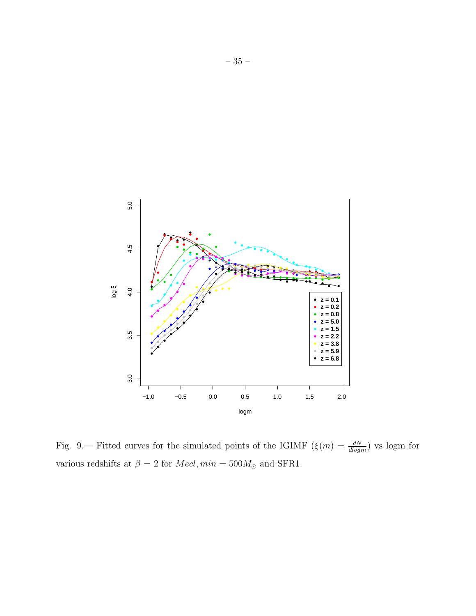

Fig. 9.— Fitted curves for the simulated points of the IGIMF  $(\xi(m) = \frac{dN}{dlogm})$  vs logm for various redshifts at  $\beta$  = 2 for  $Mecl, min = 500 M_{\odot}$  and SFR1.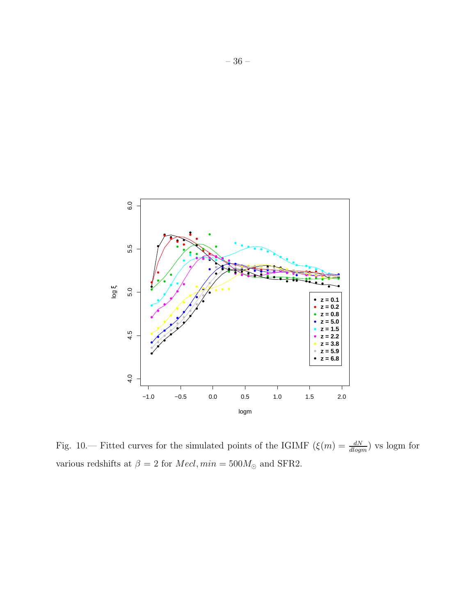

Fig. 10.— Fitted curves for the simulated points of the IGIMF  $(\xi(m) = \frac{dN}{dlogm})$  vs logm for various redshifts at  $\beta$  = 2 for  $Mecl, min = 500 M_{\odot}$  and SFR2.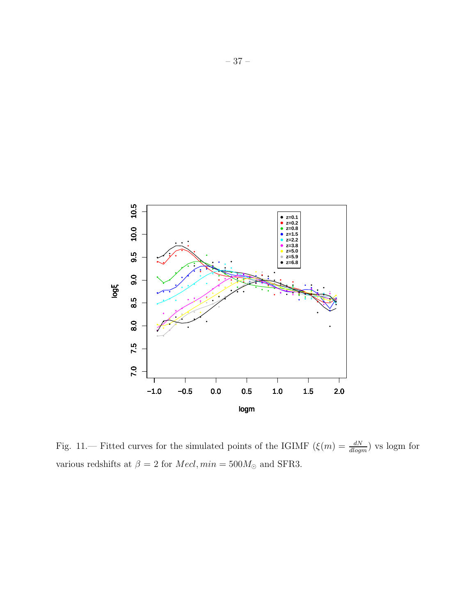

Fig. 11.— Fitted curves for the simulated points of the IGIMF  $(\xi(m) = \frac{dN}{dlogm})$  vs logm for various redshifts at  $\beta$  = 2 for  $Mecl, min = 500 M_{\odot}$  and SFR3.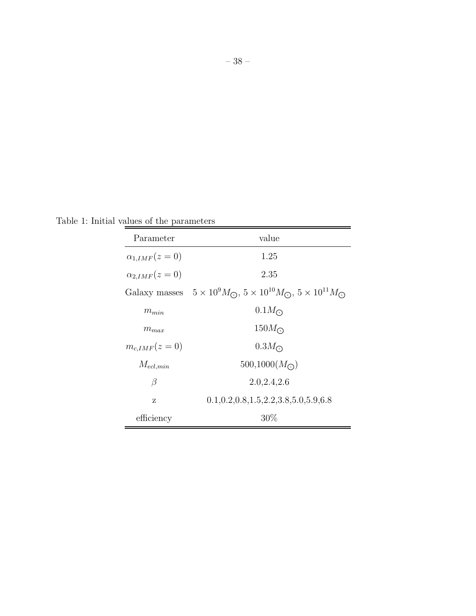– 38 –

Table 1: Initial values of the parameters

| Parameter             | value                                                                                                 |
|-----------------------|-------------------------------------------------------------------------------------------------------|
| $\alpha_{1,IMF}(z=0)$ | 1.25                                                                                                  |
| $\alpha_{2,IMF}(z=0)$ | 2.35                                                                                                  |
|                       | Galaxy masses $5 \times 10^9 M_{\odot}$ , $5 \times 10^{10} M_{\odot}$ , $5 \times 10^{11} M_{\odot}$ |
| $m_{min}$             | $0.1M_{\odot}$                                                                                        |
| $m_{max}$             | $150M_{\odot}$                                                                                        |
| $m_{cIMF}(z=0)$       | $0.3M_{\odot}$                                                                                        |
| $M_{ecl,min}$         | $500,1000(M_{\odot})$                                                                                 |
| β                     | 2.0, 2.4, 2.6                                                                                         |
| Z                     | $0.1, 0.2, 0.8, 1.5, 2.2, 3.8, 5.0, 5.9, 6.8$                                                         |
| efficiency            | $30\%$                                                                                                |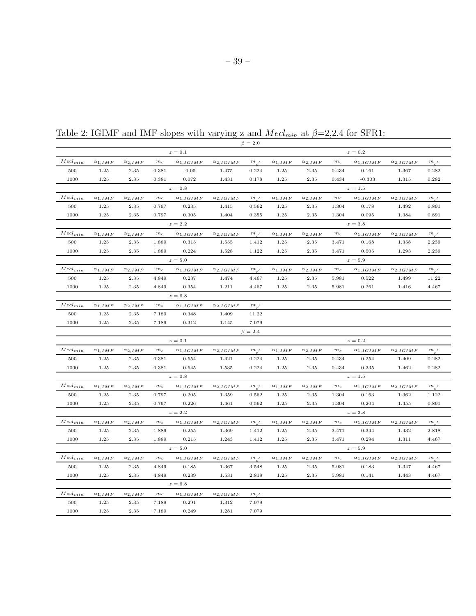|                             |                  |                  |             |                    |                    | $\beta = 2.0$       |                  |                   |                               |                    |                    |                    |
|-----------------------------|------------------|------------------|-------------|--------------------|--------------------|---------------------|------------------|-------------------|-------------------------------|--------------------|--------------------|--------------------|
|                             |                  |                  |             | $z=0.1$            |                    |                     |                  |                   |                               | $z=0.2$            |                    |                    |
| $Mecl_{min}$                | $\alpha_{1,IMF}$ | $\alpha_{2,IMF}$ | $m_c$       | $\alpha_{1,IGIMF}$ | $\alpha_{2,IGIMF}$ | $m_{\perp}$         | $\alpha_{1,IMF}$ | $\alpha_{2,IMF}$  | $m_c$                         | $\alpha_{1,IGIMF}$ | $\alpha_{2,IGIMF}$ | $m_{a}$            |
| 500                         | 1.25             | 2.35             | 0.381       | $-0.05$            | 1.475              | 0.224               | 1.25             | 2.35              | 0.434                         | 0.161              | 1.367              | 0.282              |
| 1000                        | 1.25             | 2.35             | 0.381       | 0.072              | 1.431              | 0.178               | 1.25             | 2.35              | 0.434                         | $-0.303$           | 1.315              | 0.282              |
|                             |                  |                  |             | $z=0.8$            |                    |                     |                  |                   |                               | $z = 1.5$          |                    |                    |
| $\mathit{Mecl}_{min}$       | $\alpha_{1,IMF}$ | $\alpha_{2,IMF}$ | $m_{\rm c}$ | $\alpha_{1,IGIMF}$ | $\alpha_{2,IGIMF}$ | m <sub>l</sub>      | $\alpha_{1,IMF}$ | $\alpha_{2,IMF}$  | $m_{\rm\,c}$                  | $\alpha_{1,IGIMF}$ | $\alpha_{2,IGIMF}$ | $\boldsymbol{m}$ , |
| 500                         | 1.25             | 2.35             | 0.797       | 0.235              | 1.415              | 0.562               | 1.25             | $\phantom{-}2.35$ | 1.304                         | 0.178              | 1.492              | 0.891              |
| 1000                        | 1.25             | 2.35             | 0.797       | 0.305              | 1.404              | 0.355               | 1.25             | 2.35              | 1.304                         | 0.095              | 1.384              | 0.891              |
|                             |                  |                  |             | $z=2.2$            |                    |                     |                  |                   |                               | $z=3.8$            |                    |                    |
| $Mecl_{min}$                | $\alpha_{1,IMF}$ | $\alpha_{2,IMF}$ | $m_c$       | $\alpha_{1,IGIMF}$ | $\alpha_{2,IGIMF}$ | $m_{l}$             | $\alpha_{1,IMF}$ | $\alpha_{2,IMF}$  | $m_c$                         | $\alpha_{1,IGIMF}$ | $\alpha_{2,IGIMF}$ | $m_{a}$            |
| 500                         | 1.25             | 2.35             | 1.889       | 0.315              | 1.555              | 1.412               | 1.25             | 2.35              | 3.471                         | 0.168              | 1.358              | 2.239              |
| 1000                        | 1.25             | 2.35             | 1.889       | 0.224              | 1.528              | 1.122               | 1.25             | 2.35              | 3.471                         | 0.505              | 1.293              | 2.239              |
|                             |                  |                  |             | $z=5.0$            |                    |                     |                  |                   |                               | $z=5.9$            |                    |                    |
| $Mecl_{min}$                | $\alpha_{1,IMF}$ | $\alpha_{2,IMF}$ | $m_c$       | $\alpha_{1,IGIMF}$ | $\alpha_{2,IGIMF}$ | $m_{e}$             | $\alpha_{1,IMF}$ | $\alpha_{2,IMF}$  | $m_{\rm\scriptscriptstyle C}$ | $\alpha_{1,IGIMF}$ | $\alpha_{2,IGIMF}$ | $m_{e}$            |
| 500                         | 1.25             | 2.35             | 4.849       | 0.237              | 1.474              | 4.467               | 1.25             | 2.35              | 5.981                         | 0.522              | 1.499              | 11.22              |
| 1000                        | 1.25             | 2.35             | 4.849       | 0.354              | 1.211              | 4.467               | 1.25             | 2.35              | 5.981                         | 0.261              | 1.416              | 4.467              |
|                             |                  |                  |             | $z=6.8$            |                    |                     |                  |                   |                               |                    |                    |                    |
| $Mecl_{min}$                | $\alpha_{1,IMF}$ | $\alpha_{2,IMF}$ | $m_c$       | $\alpha_{1,IGIMF}$ | $\alpha_{2,IGIMF}$ | m <sub>l</sub>      |                  |                   |                               |                    |                    |                    |
| 500                         | 1.25             | 2.35             | 7.189       | 0.348              | 1.409              | 11.22               |                  |                   |                               |                    |                    |                    |
| 1000                        | 1.25             | 2.35             | 7.189       | 0.312              | 1.145              | 7.079               |                  |                   |                               |                    |                    |                    |
|                             |                  |                  |             |                    |                    | $\beta = 2.4$       |                  |                   |                               |                    |                    |                    |
|                             |                  |                  |             | $z\,=\,0.1$        |                    |                     |                  |                   |                               | $z=0.2$            |                    |                    |
| $Mecl_{min}$                | $\alpha_{1,IMF}$ | $\alpha_{2,IMF}$ | $m_c$       | $\alpha_{1,IGIMF}$ | $\alpha_{2,IGIMF}$ | m <sub>l</sub>      | $\alpha_{1,IMF}$ | $\alpha_{2,IMF}$  | $m_c$                         | $\alpha_{1,IGIMF}$ | $\alpha_{2,IGIMF}$ | m <sub>l</sub>     |
| 500                         | 1.25             | 2.35             | 0.381       | 0.654              | 1.421              | 0.224               | 1.25             | 2.35              | 0.434                         | 0.254              | 1.409              | 0.282              |
| 1000                        | 1.25             | 2.35             | 0.381       | 0.645              | 1.535              | 0.224               | 1.25             | 2.35              | 0.434                         | 0.335              | 1.462              | 0.282              |
|                             |                  |                  |             | $z=0.8$            |                    |                     |                  |                   |                               | $z=1.5$            |                    |                    |
| $Mecl_{min}$                | $\alpha_{1,IMF}$ | $\alpha_{2,IMF}$ | $m_c$       | $\alpha_{1,IGIMF}$ | $\alpha_{2,IGIMF}$ | m <sub>l</sub>      | $\alpha_{1,IMF}$ | $\alpha_{2,IMF}$  | $m_c$                         | $\alpha_{1,IGIMF}$ | $\alpha_{2,IGIMF}$ | $\boldsymbol{m}$ , |
| 500                         | 1.25             | 2.35             | 0.797       | 0.205              | 1.359              | 0.562               | 1.25             | 2.35              | 1.304                         | 0.163              | 1.362              | 1.122              |
| 1000                        | 1.25             | 2.35             | 0.797       | 0.226              | 1.461              | 0.562               | 1.25             | 2.35              | 1.304                         | 0.204              | 1.455              | 0.891              |
|                             |                  |                  |             | $z=2.2$            |                    |                     |                  |                   |                               | $z=3.8$            |                    |                    |
| $Mecl_{min}$                | $\alpha_{1,IMF}$ | $\alpha_{2,IMF}$ | $m_c$       | $\alpha_{1,IGIMF}$ | $\alpha_{2,IGIMF}$ | m <sub>l</sub>      | $\alpha_{1,IMF}$ | $\alpha_{2,IMF}$  | $m_{\rm\,c}$                  | $\alpha_{1,IGIMF}$ | $\alpha_{2,IGIMF}$ | $m_{\_\prime}$     |
| 500                         | 1.25             | 2.35             | 1.889       | 0.255              | 1.369              | 1.412               | 1.25             | 2.35              | 3.471                         | 0.344              | 1.432              | 2.818              |
| 1000                        | 1.25             | 2.35             | 1.889       | 0.215              | 1.243              | 1.412               | 1.25             | 2.35              | 3.471                         | 0.294              | 1.311              | 4.467              |
|                             |                  |                  |             | $z=5.0$            |                    |                     |                  |                   |                               | $z=5.9$            |                    |                    |
| $Mecl_{min}$                | $\alpha_{1,IMF}$ | $\alpha_{2,IMF}$ | $m_c$       | $\alpha_{1,IGIMF}$ | $\alpha_{2,IGIMF}$ | $\,m$ $\,$ $\prime$ | $\alpha_{1,IMF}$ | $\alpha_{2,IMF}$  | $m_c$                         | $\alpha_{1,IGIMF}$ | $\alpha_{2,IGIMF}$ | $\boldsymbol{m}$ , |
| 500                         | 1.25             | 2.35             | 4.849       | 0.185              | 1.367              | 3.548               | 1.25             | 2.35              | 5.981                         | 0.183              | 1.347              | 4.467              |
| 1000                        | 1.25             | 2.35             | 4.849       | 0.239              | 1.531              | 2.818               | 1.25             | 2.35              | 5.981                         | 0.141              | 1.443              | 4.467              |
|                             |                  |                  |             | $z=6.8$            |                    |                     |                  |                   |                               |                    |                    |                    |
| $\operatorname{Mecl}_{min}$ | $\alpha_{1,IMF}$ | $\alpha_{2,IMF}$ | $m_c$       | $\alpha_{1,IGIMF}$ | $\alpha_{2,IGIMF}$ | m <sub>l</sub>      |                  |                   |                               |                    |                    |                    |
| 500                         | 1.25             | 2.35             | 7.189       | 0.291              | 1.312              | 7.079               |                  |                   |                               |                    |                    |                    |

1000 1.25 2.35 7.189 0.249 1.281 7.079

Table 2: IGIMF and IMF slopes with varying z and  $Mecl_{min}$  at  $\beta=2,2.4$  for SFR1: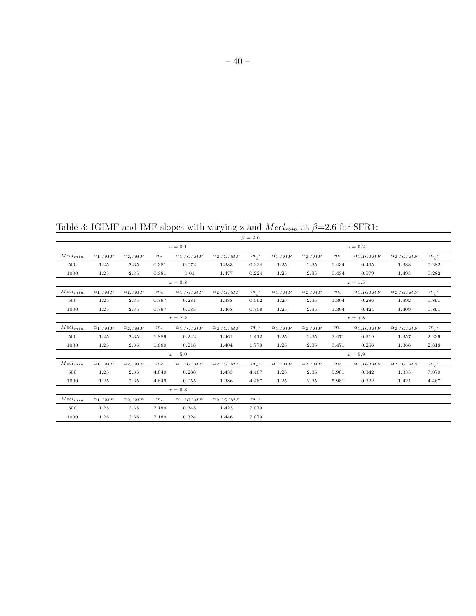Table 3: IGIMF and IMF slopes with varying z and  $Mecl_{min}$  at  $\beta=2.6$  for SFR1:

|                             |                  |                  |       |                    |                    | $\beta = 2.6$ |                  |                  |       |                    |                    |         |
|-----------------------------|------------------|------------------|-------|--------------------|--------------------|---------------|------------------|------------------|-------|--------------------|--------------------|---------|
|                             |                  |                  |       | $z=0.1$            |                    |               |                  |                  |       | $z=0.2$            |                    |         |
| $Mecl_{min}$                | $\alpha_{1,IMF}$ | $\alpha_{2,IMF}$ | $m_c$ | $\alpha_{1,IGIMF}$ | $\alpha_{2,IGIMF}$ | $m_{c}$       | $\alpha_{1,IMF}$ | $\alpha_{2,IMF}$ | $m_c$ | $\alpha_{1,IGIMF}$ | $\alpha_{2,IGIMF}$ | $m_{c}$ |
| 500                         | 1.25             | 2.35             | 0.381 | 0.072              | 1.383              | 0.224         | 1.25             | 2.35             | 0.434 | 0.495              | 1.388              | 0.282   |
| 1000                        | 1.25             | 2.35             | 0.381 | 0.01               | 1.477              | 0.224         | 1.25             | 2.35             | 0.434 | 0.579              | 1.493              | 0.282   |
|                             |                  |                  |       | $z=0.8$            |                    |               |                  |                  |       | $z=1.5$            |                    |         |
| $\operatorname{Med}_{min}$  | $\alpha_{1,IMF}$ | $\alpha_{2,IMF}$ | $m_c$ | $\alpha_{1,IGIMF}$ | $\alpha_{2,IGIMF}$ | $m_{c}$       | $\alpha_{1,IMF}$ | $\alpha_{2,IMF}$ | $m_c$ | $\alpha_{1,IGIMF}$ | $\alpha_{2,IGIMF}$ | $m_{c}$ |
| 500                         | 1.25             | 2.35             | 0.797 | 0.281              | 1.388              | 0.562         | 1.25             | 2.35             | 1.304 | 0.286              | 1.392              | 0.891   |
| 1000                        | 1.25             | 2.35             | 0.797 | 0.083              | 1.468              | 0.708         | 1.25             | 2.35             | 1.304 | 0.424              | 1.409              | 0.891   |
|                             |                  |                  |       | $z=2.2$            |                    |               |                  |                  |       | $z=3.8$            |                    |         |
| $\operatorname{Med}_{min}$  | $\alpha_{1,IMF}$ | $\alpha_{2,IMF}$ | $m_c$ | $\alpha_{1,IGIMF}$ | $\alpha_{2,IGIMF}$ | $m_{c}$       | $\alpha_{1,IMF}$ | $\alpha_{2,IMF}$ | $m_c$ | $\alpha_{1,IGIMF}$ | $\alpha_{2,IGIMF}$ | $m_{c}$ |
| 500                         | 1.25             | 2.35             | 1.889 | 0.242              | 1.461              | 1.412         | 1.25             | 2.35             | 3.471 | 0.319              | 1.357              | 2.239   |
| 1000                        | 1.25             | 2.35             | 1.889 | 0.218              | 1.404              | 1.778         | 1.25             | 2.35             | 3.471 | 0.256              | 1.366              | 2.818   |
|                             |                  |                  |       | $z=5.0$            |                    |               |                  |                  |       | $z=5.9$            |                    |         |
| $\operatorname*{Med}_{min}$ | $\alpha_{1,IMF}$ | $\alpha_{2,IMF}$ | $m_c$ | $\alpha_{1,IGIMF}$ | $\alpha_{2,IGIMF}$ | $m_{c}$       | $\alpha_{1,IMF}$ | $\alpha_{2,IMF}$ | $m_c$ | $\alpha_{1,IGIMF}$ | $\alpha_{2,IGIMF}$ | $m_{c}$ |
| 500                         | 1.25             | 2.35             | 4.849 | 0.288              | 1.433              | 4.467         | 1.25             | 2.35             | 5.981 | 0.342              | 1.335              | 7.079   |
| 1000                        | 1.25             | 2.35             | 4.849 | 0.055              | 1.386              | 4.467         | 1.25             | 2.35             | 5.981 | 0.322              | 1.421              | 4.467   |
|                             |                  |                  |       | $z=6.8$            |                    |               |                  |                  |       |                    |                    |         |
| $\operatorname{Med}_{min}$  | $\alpha_{1,IMF}$ | $\alpha_{2,IMF}$ | $m_c$ | $\alpha_{1,IGIMF}$ | $\alpha_{2,IGIMF}$ | $m_{c}$       |                  |                  |       |                    |                    |         |
| 500                         | 1.25             | 2.35             | 7.189 | 0.345              | 1.423              | 7.079         |                  |                  |       |                    |                    |         |
| 1000                        | 1.25             | 2.35             | 7.189 | 0.324              | 1.446              | 7.079         |                  |                  |       |                    |                    |         |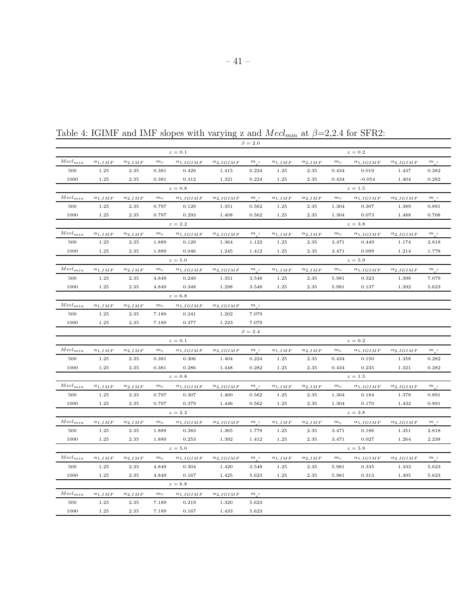|                              |                  |                  |             |                    |                    | $\beta = 2.0$                                    |                  |                   |              |                    |                    |                    |
|------------------------------|------------------|------------------|-------------|--------------------|--------------------|--------------------------------------------------|------------------|-------------------|--------------|--------------------|--------------------|--------------------|
|                              |                  |                  |             | $z=0.1$            |                    |                                                  |                  |                   |              | $z=0.2$            |                    |                    |
| $\mathit{Mecl}_{min}$        | $\alpha_{1,IMF}$ | $\alpha_{2,IMF}$ | $m_c$       | $\alpha_{1,IGIMF}$ | $\alpha_{2,IGIMF}$ | $m_{\perp}$                                      | $\alpha_{1,IMF}$ | $\alpha_{2,IMF}$  | $m_c$        | $\alpha_{1,IGIMF}$ | $\alpha_{2,IGIMF}$ | $m_{a}$            |
| 500                          | 1.25             | 2.35             | 0.381       | 0.429              | 1.415              | 0.224                                            | 1.25             | 2.35              | 0.434        | 0.019              | 1.437              | 0.282              |
| 1000                         | 1.25             | 2.35             | 0.381       | 0.312              | 1.321              | 0.224                                            | 1.25             | 2.35              | 0.434        | $-0.054$           | 1.404              | 0.282              |
|                              |                  |                  |             | $z=0.8$            |                    |                                                  |                  |                   |              | $z=1.5$            |                    |                    |
| $Mel_{min}$                  | $\alpha_{1,IMF}$ | $\alpha_{2,IMF}$ | $m_c$       | $\alpha_{1,IGIMF}$ | $\alpha_{2,IGIMF}$ | m,                                               | $\alpha_{1,IMF}$ | $\alpha_{2,IMF}$  | $m_{\rm c}$  | $\alpha_{1,IGIMF}$ | $\alpha_{2,IGIMF}$ | $m_{\alpha'}$      |
| 500                          | 1.25             | 2.35             | 0.797       | 0.129              | 1.351              | 0.562                                            | 1.25             | 2.35              | 1.304        | 0.307              | 1.389              | 0.891              |
| 1000                         | 1.25             | 2.35             | 0.797       | 0.293              | 1.408              | 0.562                                            | 1.25             | 2.35              | 1.304        | 0.073              | 1.488              | 0.708              |
|                              |                  |                  |             | $z=2.2$            |                    |                                                  |                  |                   |              | $z=3.8$            |                    |                    |
| $Mel_{min}$                  | $\alpha_{1,IMF}$ | $\alpha_{2,IMF}$ | $m_c$       | $\alpha_{1,IGIMF}$ | $\alpha_{2,IGIMF}$ | $m_{.}$                                          | $\alpha_{1,IMF}$ | $\alpha_{2,IMF}$  | $m_c$        | $\alpha_{1,IGIMF}$ | $\alpha_{2,IGIMF}$ | $m_{e}$            |
| 500                          | 1.25             | 2.35             | 1.889       | 0.129              | 1.364              | 1.122                                            | 1.25             | 2.35              | 3.471        | 0.449              | 1.174              | 2.818              |
| 1000                         | 1.25             | 2.35             | 1.889       | 0.046              | 1.245              | 1.412                                            | 1.25             | 2.35              | 3.471        | 0.099              | 1.214              | 1.778              |
|                              |                  |                  |             | $z=5.0$            |                    |                                                  |                  |                   |              | $z=5.9$            |                    |                    |
| $Mecl_{min}$                 | $\alpha_{1,IMF}$ | $\alpha_{2,IMF}$ | $m_c$       | $\alpha_{1,IGIMF}$ | $\alpha_{2,IGIMF}$ | $m_{\perp}$                                      | $\alpha_{1,IMF}$ | $\alpha_{2,IMF}$  | $m_c$        | $\alpha_{1,IGIMF}$ | $\alpha_{2,IGIMF}$ | $m_{a}$            |
| 500                          | 1.25             | 2.35             | 4.849       | 0.249              | 1.351              | 3.548                                            | 1.25             | 2.35              | 5.981        | 0.323              | 1.398              | 7.079              |
| 1000                         | 1.25             | 2.35             | 4.849       | 0.348              | 1.298              | 3.548                                            | 1.25             | 2.35              | 5.981        | 0.137              | 1.392              | 5.623              |
|                              |                  |                  |             | $z=6.8$            |                    |                                                  |                  |                   |              |                    |                    |                    |
| $Mecl_{min}$                 | $\alpha_{1,IMF}$ | $\alpha_{2,IMF}$ | $m_c$       | $\alpha_{1,IGIMF}$ | $\alpha_{2,IGIMF}$ | m <sub>l</sub>                                   |                  |                   |              |                    |                    |                    |
| 500                          | 1.25             | 2.35             | 7.189       | 0.241              | 1.202              | 7.079                                            |                  |                   |              |                    |                    |                    |
| 1000                         | 1.25             | 2.35             | 7.189       | 0.377              | 1.223              | 7.079                                            |                  |                   |              |                    |                    |                    |
|                              |                  |                  |             |                    |                    | $\beta = 2.4$                                    |                  |                   |              |                    |                    |                    |
|                              |                  |                  |             | $z=0.1$            |                    |                                                  |                  |                   |              | $z=0.2$            |                    |                    |
| $\mathit{Mecl}_{min}$        | $\alpha_{1,IMF}$ | $\alpha_{2,IMF}$ | $m_c$       | $\alpha_{1,IGIMF}$ | $\alpha_{2,IGIMF}$ | m <sub>l</sub>                                   | $\alpha_{1,IMF}$ | $\alpha_{2,IMF}$  | $m_{\rm\,c}$ | $\alpha_{1,IGIMF}$ | $\alpha_{2,IGIMF}$ | $m_{\_\prime}$     |
| 500                          | 1.25             | 2.35             | 0.381       | 0.306              | 1.404              | 0.224                                            | 1.25             | 2.35              | 0.434        | 0.150              | 1.358              | 0.282              |
| 1000                         | 1.25             | 2.35             | 0.381       | 0.286              | 1.448              | 0.282                                            | 1.25             | 2.35              | 0.434        | 0.235              | 1.321              | 0.282              |
|                              |                  |                  |             | $z=0.8$            |                    |                                                  |                  |                   |              | $z=1.5$            |                    |                    |
| ${Mecl}_{min}$               | $\alpha_{1,IMF}$ | $\alpha_{2,IMF}$ | $m_{c}$     | $\alpha_{1,IGIMF}$ | $\alpha_{2,IGIMF}$ | m <sub>l</sub>                                   | $\alpha_{1,IMF}$ | $\alpha_{2,IMF}$  | $m_{\it c}$  | $\alpha_{1,IGIMF}$ | $\alpha_{2,IGIMF}$ | $\boldsymbol{m}$ , |
| 500                          | 1.25             | 2.35             | 0.797       | 0.307              | 1.400              | 0.562                                            | 1.25             | 2.35              | 1.304        | 0.184              | 1.378              | 0.891              |
| 1000                         | 1.25             | 2.35             | 0.797       | 0.379              | 1.446              | 0.562                                            | 1.25             | 2.35              | 1.304        | 0.170              | 1.432              | 0.891              |
|                              |                  |                  |             | $z=2.2$            |                    |                                                  |                  |                   |              | $z=3.8$            |                    |                    |
| $Mecl_{min}$                 | $\alpha_{1,IMF}$ | $\alpha_{2,IMF}$ | $m_c$       | $\alpha_{1,IGIMF}$ | $\alpha_{2,IGIMF}$ | $\ensuremath{m}$ $\ensuremath{$ $\ensuremath{ }$ | $\alpha_{1,IMF}$ | $\alpha_{2,IMF}$  | $m_c$        | $\alpha_{1,IGIMF}$ | $\alpha_{2,IGIMF}$ | $m_{\perp}$        |
| 500                          | 1.25             | 2.35             | 1.889       | 0.383              | 1.365              | 1.778                                            | 1.25             | 2.35              | 3.471        | 0.186              | 1.351              | 2.818              |
| 1000                         | 1.25             | 2.35             | 1.889       | 0.253              | 1.392              | 1.412                                            | 1.25             | 2.35              | 3.471        | 0.027              | 1.264              | 2.238              |
|                              |                  |                  |             | $z=5.0$            |                    |                                                  |                  |                   |              | $z=5.9$            |                    |                    |
| $Mecl_{min}$                 | $\alpha_{1,IMF}$ | $\alpha_{2,IMF}$ | $m_{\rm c}$ | $\alpha_{1,IGIMF}$ | $\alpha_{2,IGIMF}$ | m <sub>l</sub>                                   | $\alpha_{1,IMF}$ | $\alpha_{2,IMF}$  | $m_c$        | $\alpha_{1,IGIMF}$ | $\alpha_{2,IGIMF}$ | $m_{\_\prime}$     |
| 500                          | 1.25             | 2.35             | 4.849       | 0.304              | 1.420              | 3.548                                            | 1.25             | 2.35              | 5.981        | 0.335              | 1.333              | 5.623              |
| 1000                         | 1.25             | 2.35             | 4.849       | 0.167              | 1.425              | 5.623                                            | 1.25             | $\phantom{-}2.35$ | 5.981        | 0.313              | 1.495              | 5.623              |
|                              |                  |                  |             | $z=6.8$            |                    |                                                  |                  |                   |              |                    |                    |                    |
| $\operatorname*{Mech}_{min}$ | $\alpha_{1,IMF}$ | $\alpha_{2,IMF}$ | $m_c$       | $\alpha_{1,IGIMF}$ | $\alpha_{2,IGIMF}$ | m <sub>l</sub>                                   |                  |                   |              |                    |                    |                    |
| 500                          | 1.25             | 2.35             | 7.189       | 0.219              | 1.320              | 5.623                                            |                  |                   |              |                    |                    |                    |
| 1000                         | 1.25             | 2.35             | 7.189       | 0.167              | 1.433              | 5.623                                            |                  |                   |              |                    |                    |                    |

Table 4: IGIMF and IMF slopes with varying z and  $Mecl_{min}$  at  $\beta=2,2.4$  for SFR2: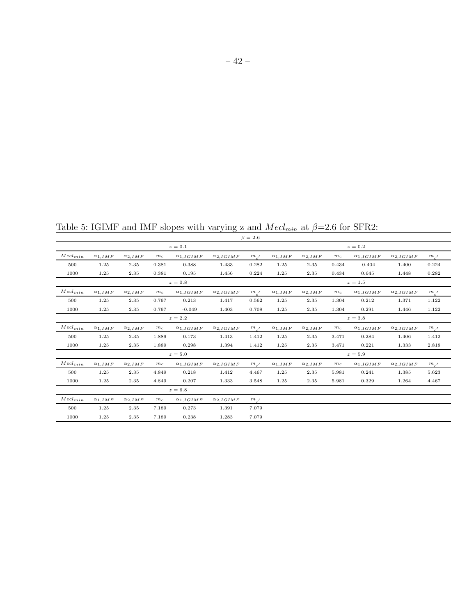Table 5: IGIMF and IMF slopes with varying z and  $M ecl_{min}$  at  $\beta{=}2.6$  for SFR2:

|                            |                  |                  |       |                    |                    | $\beta = 2.6$ |                  |                  |       |                    |                    |                          |
|----------------------------|------------------|------------------|-------|--------------------|--------------------|---------------|------------------|------------------|-------|--------------------|--------------------|--------------------------|
|                            |                  |                  |       | $z=0.1$            |                    |               |                  |                  |       | $z=0.2$            |                    |                          |
| $Mecl_{min}$               | $\alpha_{1.IMF}$ | $\alpha_{2,IMF}$ | $m_c$ | $\alpha_{1,IGIMF}$ | $\alpha_{2,IGIMF}$ | $m_{c}$       | $\alpha_{1,IMF}$ | $\alpha_{2,IMF}$ | $m_c$ | $\alpha_{1,IGIMF}$ | $\alpha_{2,IGIMF}$ | $m_{c}$                  |
| 500                        | 1.25             | 2.35             | 0.381 | 0.388              | 1.433              | 0.282         | 1.25             | 2.35             | 0.434 | $-0.404$           | 1.400              | 0.224                    |
| 1000                       | 1.25             | 2.35             | 0.381 | 0.195              | 1.456              | 0.224         | 1.25             | 2.35             | 0.434 | 0.645              | 1.448              | 0.282                    |
|                            |                  |                  |       | $z=0.8$            |                    |               |                  |                  |       | $z=1.5$            |                    |                          |
| $\operatorname{Med}_{min}$ | $\alpha_{1,IMF}$ | $\alpha_{2,IMF}$ | $m_c$ | $\alpha_{1,IGIMF}$ | $\alpha_{2,IGIMF}$ | $m_{c}$       | $\alpha_{1,IMF}$ | $\alpha_{2,IMF}$ | $m_c$ | $\alpha_{1,IGIMF}$ | $\alpha_{2,IGIMF}$ | $m_{c}$                  |
| 500                        | 1.25             | 2.35             | 0.797 | 0.213              | 1.417              | 0.562         | 1.25             | 2.35             | 1.304 | 0.212              | 1.371              | 1.122                    |
| 1000                       | 1.25             | 2.35             | 0.797 | $-0.049$           | 1.403              | 0.708         | 1.25             | 2.35             | 1.304 | 0.291              | 1.446              | 1.122                    |
|                            |                  |                  |       | $z=2.2$            |                    |               |                  |                  |       | $z=3.8$            |                    |                          |
| $\operatorname{Med}_{min}$ | $\alpha_{1,IMF}$ | $\alpha_{2,IMF}$ | $m_c$ | $\alpha_{1,IGIMF}$ | $\alpha_{2,IGIMF}$ | $m_{c}$       | $\alpha_{1,IMF}$ | $\alpha_{2,IMF}$ | $m_c$ | $\alpha_{1,IGIMF}$ | $\alpha_{2,IGIMF}$ | $m_{c}$                  |
| 500                        | 1.25             | 2.35             | 1.889 | 0.173              | 1.413              | 1.412         | 1.25             | 2.35             | 3.471 | 0.284              | 1.406              | 1.412                    |
| 1000                       | 1.25             | 2.35             | 1.889 | 0.298              | 1.394              | 1.412         | 1.25             | 2.35             | 3.471 | 0.221              | 1.333              | 2.818                    |
|                            |                  |                  |       | $z=5.0$            |                    |               |                  |                  |       | $z=5.9$            |                    |                          |
| $\boldsymbol{M}ecl_{min}$  | $\alpha_{1,IMF}$ | $\alpha_{2,IMF}$ | $m_c$ | $\alpha_{1,IGIMF}$ | $\alpha_{2,IGIMF}$ | $m_{c}$       | $\alpha_{1,IMF}$ | $\alpha_{2,IMF}$ | $m_c$ | $\alpha_{1,IGIMF}$ | $\alpha_{2,IGIMF}$ | $\frac{m_{c^{\prime }}}$ |
| 500                        | 1.25             | 2.35             | 4.849 | 0.218              | 1.412              | 4.467         | 1.25             | 2.35             | 5.981 | 0.241              | 1.385              | 5.623                    |
| 1000                       | 1.25             | 2.35             | 4.849 | 0.207              | 1.333              | 3.548         | 1.25             | 2.35             | 5.981 | 0.329              | 1.264              | 4.467                    |
|                            |                  |                  |       | $z=6.8$            |                    |               |                  |                  |       |                    |                    |                          |
| $Mecl_{min}$               | $\alpha_{1,IMF}$ | $\alpha_{2,IMF}$ | $m_c$ | $\alpha_{1,IGIMF}$ | $\alpha_{2,IGIMF}$ | $m_{c}$       |                  |                  |       |                    |                    |                          |
| 500                        | 1.25             | 2.35             | 7.189 | 0.273              | 1.391              | 7.079         |                  |                  |       |                    |                    |                          |
| 1000                       | 1.25             | 2.35             | 7.189 | 0.238              | 1.283              | 7.079         |                  |                  |       |                    |                    |                          |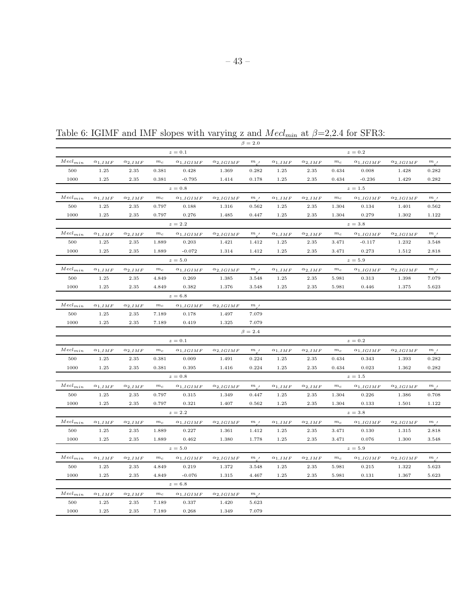|                            |                  |                  |             |                    |                    | $\beta = 2.0$                                    |                  |                     |             |                    |                    |               |
|----------------------------|------------------|------------------|-------------|--------------------|--------------------|--------------------------------------------------|------------------|---------------------|-------------|--------------------|--------------------|---------------|
|                            |                  |                  |             | $z=0.1$            |                    |                                                  |                  |                     |             | $z=0.2$            |                    |               |
| $\mathit{Mecl}_{min}$      | $\alpha_{1,IMF}$ | $\alpha_{2,IMF}$ | $m_{\rm c}$ | $\alpha_{1,IGIMF}$ | $\alpha_{2,IGIMF}$ | $m_{\perp}$                                      | $\alpha_{1,IMF}$ | $\alpha_{2,IMF}$    | $m_c$       | $\alpha_{1,IGIMF}$ | $\alpha_{2,IGIMF}$ | $m_{a}$       |
| 500                        | 1.25             | 2.35             | 0.381       | 0.428              | 1.369              | 0.282                                            | 1.25             | 2.35                | 0.434       | 0.008              | 1.428              | 0.282         |
| 1000                       | 1.25             | 2.35             | 0.381       | $-0.795$           | 1.414              | 0.178                                            | 1.25             | 2.35                | 0.434       | $-0.236$           | 1.429              | 0.282         |
|                            |                  |                  |             | $z=0.8$            |                    |                                                  |                  |                     |             | $z=1.5$            |                    |               |
| $Mel_{min}$                | $\alpha_{1,IMF}$ | $\alpha_{2,IMF}$ | $m_c$       | $\alpha_{1,IGIMF}$ | $\alpha_{2,IGIMF}$ | m <sub>1</sub>                                   | $\alpha_{1,IMF}$ | $\alpha_{2,IMF}$    | $m_{\rm c}$ | $\alpha_{1,IGIMF}$ | $\alpha_{2,IGIMF}$ | $m_{\alpha'}$ |
| 500                        | 1.25             | 2.35             | 0.797       | 0.188              | 1.316              | 0.562                                            | 1.25             | 2.35                | 1.304       | 0.134              | 1.401              | 0.562         |
| 1000                       | 1.25             | 2.35             | 0.797       | 0.276              | 1.485              | 0.447                                            | 1.25             | 2.35                | 1.304       | 0.279              | 1.302              | 1.122         |
|                            |                  |                  |             | $z=2.2$            |                    |                                                  |                  |                     |             | $z\,=\,3.8$        |                    |               |
| $Mech_{min}$               | $\alpha_{1,IMF}$ | $\alpha_{2,IMF}$ | $m_{\rm c}$ | $\alpha_{1,IGIMF}$ | $\alpha_{2,IGIMF}$ | $m_{.}$                                          | $\alpha_{1,IMF}$ | $\alpha_{2,IMF}$    | $m_c$       | $\alpha_{1,IGIMF}$ | $\alpha_{2,IGIMF}$ | $m_{a}$       |
| 500                        | 1.25             | 2.35             | 1.889       | 0.203              | 1.421              | 1.412                                            | 1.25             | 2.35                | 3.471       | $-0.117$           | 1.232              | 3.548         |
| 1000                       | 1.25             | 2.35             | 1.889       | $-0.072$           | 1.314              | 1.412                                            | 1.25             | 2.35                | 3.471       | 0.273              | 1.512              | 2.818         |
|                            |                  |                  |             | $z=5.0$            |                    |                                                  |                  |                     |             | $z=5.9$            |                    |               |
| $\mathit{Mecl}_{min}$      | $\alpha_{1,IMF}$ | $\alpha_{2,IMF}$ | $m_c$       | $\alpha_{1,IGIMF}$ | $\alpha_{2,IGIMF}$ | m <sub>l</sub>                                   | $\alpha_{1,IMF}$ | $\alpha_{2,IMF}$    | $m_c$       | $\alpha_{1,IGIMF}$ | $\alpha_{2,IGIMF}$ | $m_{a}$       |
| 500                        | 1.25             | 2.35             | 4.849       | 0.269              | 1.385              | 3.548                                            | 1.25             | $\boldsymbol{2.35}$ | 5.981       | 0.313              | 1.398              | 7.079         |
| 1000                       | 1.25             | 2.35             | 4.849       | 0.382              | 1.376              | 3.548                                            | 1.25             | 2.35                | 5.981       | 0.446              | 1.375              | 5.623         |
|                            |                  |                  |             | $z=6.8$            |                    |                                                  |                  |                     |             |                    |                    |               |
| $Mecl_{min}$               | $\alpha_{1,IMF}$ | $\alpha_{2,IMF}$ | $m_{\rm c}$ | $\alpha_{1,IGIMF}$ | $\alpha_{2,IGIMF}$ | $\ensuremath{m}$ $\ensuremath{$ $\ensuremath{ }$ |                  |                     |             |                    |                    |               |
| 500                        | 1.25             | 2.35             | 7.189       | 0.178              | 1.497              | 7.079                                            |                  |                     |             |                    |                    |               |
| 1000                       | 1.25             | 2.35             | 7.189       | 0.419              | 1.325              | 7.079                                            |                  |                     |             |                    |                    |               |
|                            |                  |                  |             |                    |                    | $\beta = 2.4$                                    |                  |                     |             |                    |                    |               |
|                            |                  |                  |             | $z\,=\,0.1$        |                    |                                                  |                  |                     |             | $z=0.2$            |                    |               |
| $\operatorname{Med}_{min}$ | $\alpha_{1,IMF}$ | $\alpha_{2,IMF}$ | $m_c$       | $\alpha_{1,IGIMF}$ | $\alpha_{2,IGIMF}$ | $m_{l}$                                          | $\alpha_{1,IMF}$ | $\alpha_{2,IMF}$    | $m_c$       | $\alpha_{1,IGIMF}$ | $\alpha_{2,IGIMF}$ | $m_{a}$       |
| 500                        | 1.25             | 2.35             | 0.381       | 0.009              | 1.491              | 0.224                                            | 1.25             | 2.35                | 0.434       | 0.343              | 1.393              | 0.282         |
| 1000                       | 1.25             | 2.35             | 0.381       | 0.395              | 1.416              | 0.224                                            | 1.25             | 2.35                | 0.434       | 0.023              | 1.362              | 0.282         |
|                            |                  |                  |             | $z=0.8$            |                    |                                                  |                  |                     |             | $z=1.5$            |                    |               |
| $\mathit{Mecl}_{min}$      | $\alpha_{1,IMF}$ | $\alpha_{2,IMF}$ | $m_c$       | $\alpha_{1,IGIMF}$ | $\alpha_{2,IGIMF}$ | m,                                               | $\alpha_{1,IMF}$ | $\alpha_{2,IMF}$    | $m_c$       | $\alpha_{1,IGIMF}$ | $\alpha_{2,IGIMF}$ | $m_{a}$       |
| 500                        | 1.25             | 2.35             | 0.797       | 0.315              | 1.349              | 0.447                                            | 1.25             | 2.35                | 1.304       | 0.226              | 1.386              | 0.708         |
| 1000                       | 1.25             | 2.35             | 0.797       | 0.321              | 1.407              | 0.562                                            | 1.25             | $\phantom{-}2.35$   | 1.304       | 0.133              | 1.501              | 1.122         |
|                            |                  |                  |             | $z=2.2$            |                    |                                                  |                  |                     |             | $z=3.8$            |                    |               |
| $\mathit{Mecl}_{min}$      | $\alpha_{1,IMF}$ | $\alpha_{2,IMF}$ | $m_c$       | $\alpha_{1,IGIMF}$ | $\alpha_{2,IGIMF}$ | m <sub>l</sub>                                   | $\alpha_{1,IMF}$ | $\alpha_{2,IMF}$    | $m_{\it c}$ | $\alpha_{1,IGIMF}$ | $\alpha_{2,IGIMF}$ | $m_{a}$       |
| 500                        | 1.25             | 2.35             | 1.889       | 0.227              | 1.361              | 1.412                                            | 1.25             | 2.35                | 3.471       | 0.130              | 1.315              | 2.818         |
| 1000                       | 1.25             | 2.35             | 1.889       | 0.462              | 1.380              | 1.778                                            | 1.25             | 2.35                | 3.471       | 0.076              | 1.300              | 3.548         |
|                            |                  |                  |             | $z=5.0$            |                    |                                                  |                  |                     |             | $z=5.9$            |                    |               |
| $\operatorname{Med}_{min}$ | $\alpha_{1,IMF}$ | $\alpha_{2,IMF}$ | $m_c$       | $\alpha_{1,IGIMF}$ | $\alpha_{2,IGIMF}$ | m <sub>l</sub>                                   | $\alpha_{1,IMF}$ | $\alpha_{2,IMF}$    | $m_c$       | $\alpha_{1,IGIMF}$ | $\alpha_{2,IGIMF}$ | $m_{\perp}$   |
| 500                        | 1.25             | 2.35             | 4.849       | 0.219              | 1.372              | 3.548                                            | 1.25             | 2.35                | 5.981       | 0.215              | 1.322              | 5.623         |
| 1000                       | 1.25             | 2.35             | 4.849       | $-0.076$           | 1.315              | 4.467                                            | 1.25             | 2.35                | 5.981       | 0.131              | 1.367              | 5.623         |
|                            |                  |                  |             | $z=6.8$            |                    |                                                  |                  |                     |             |                    |                    |               |
| $Mel_{min}$                | $\alpha_{1,IMF}$ | $\alpha_{2,IMF}$ | $m_c$       | $\alpha_{1,IGIMF}$ | $\alpha_{2,IGIMF}$ | m <sub>l</sub>                                   |                  |                     |             |                    |                    |               |
| 500                        | 1.25             | 2.35             | 7.189       | 0.337              | 1.420              | 5.623                                            |                  |                     |             |                    |                    |               |
| 1000                       | 1.25             | 2.35             | 7.189       | 0.268              | 1.349              | 7.079                                            |                  |                     |             |                    |                    |               |

Table 6: IGIMF and IMF slopes with varying z and  $M ecl_{min}$  at  $\beta=2,2.4$  for SFR3: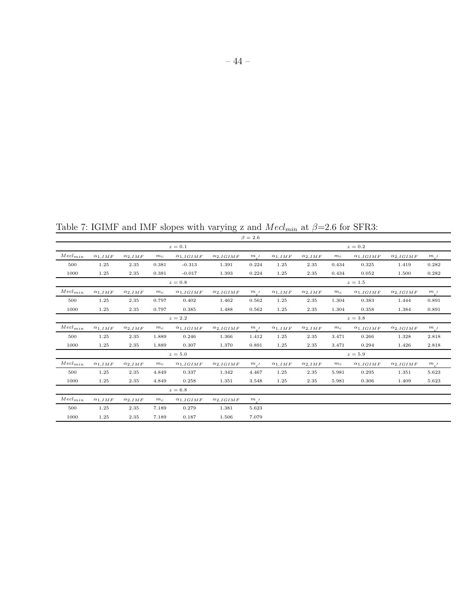Table 7: IGIMF and IMF slopes with varying z and  $Mecl_{min}$  at  $\beta=2.6$  for SFR3:

| $\alpha_{1,IMF}$   | $\alpha_{2,IMF}$ | $m_c$       | $\alpha_{1,IGIMF}$ | $\alpha_{2,IGIMF}$            | $m_{c}$ | $\alpha_{1,IMF}$ | $\alpha_{2,IMF}$  | $m_c$ | $\alpha_{1,IGIMF}$ | $\alpha_{2,IGIMF}$            | $m_{c}$ |
|--------------------|------------------|-------------|--------------------|-------------------------------|---------|------------------|-------------------|-------|--------------------|-------------------------------|---------|
| 1.25               | 2.35             | 0.381       | $-0.313$           | 1.391                         | 0.224   | 1.25             | 2.35              | 0.434 | 0.325              | 1.419                         | 0.282   |
| 1.25               | 2.35             | 0.381       | $-0.017$           | 1.393                         | 0.224   | 1.25             | 2.35              | 0.434 | 0.052              | 1.500                         | 0.282   |
| $z=0.8$<br>$z=1.5$ |                  |             |                    |                               |         |                  |                   |       |                    |                               |         |
| $\alpha_{1,IMF}$   | $\alpha_{2,IMF}$ | $m_c$       | $\alpha_{1,IGIMF}$ | $\alpha_{2,IGIMF}$            | $m_{c}$ | $\alpha_{1,IMF}$ | $\alpha_{2,IMF}$  | $m_c$ | $\alpha_{1,IGIMF}$ | $\alpha_{2,IGIMF}$            | $m_{c}$ |
| 1.25               | 2.35             | 0.797       | 0.402              | 1.462                         | 0.562   | 1.25             | 2.35              | 1.304 | 0.383              | 1.444                         | 0.891   |
| 1.25               | 2.35             | 0.797       | 0.385              | 1.488                         | 0.562   | 1.25             | 2.35              | 1.304 | 0.358              | 1.384                         | 0.891   |
| $z=2.2$            |                  |             |                    |                               |         |                  |                   |       |                    |                               |         |
| $\alpha_{1,IMF}$   | $\alpha_{2,IMF}$ | $m_{\rm c}$ | $\alpha_{1,IGIMF}$ | $\alpha_{2,IGIMF}$            | $m_{c}$ | $\alpha_{1,IMF}$ | $\alpha_{2,IMF}$  | $m_c$ | $\alpha_{1,IGIMF}$ | $\alpha_{2,IGIMF}$            | $m_{c}$ |
| 1.25               | 2.35             | 1.889       | 0.246              | 1.366                         | 1.412   | 1.25             | 2.35              | 3.471 | 0.266              | 1.328                         | 2.818   |
| 1.25               | 2.35             | 1.889       | 0.307              | 1.370                         | 0.891   | 1.25             | 2.35              | 3.471 | 0.294              | 1.426                         | 2.818   |
|                    |                  |             |                    |                               |         |                  |                   |       |                    |                               |         |
| $\alpha_{1,IMF}$   | $\alpha_{2,IMF}$ | $m_c$       | $\alpha_{1,IGIMF}$ | $\alpha_{2,IGIMF}$            | $m_{c}$ | $\alpha_{1,IMF}$ | $\alpha_{2,IMF}$  | $m_c$ | $\alpha_{1,IGIMF}$ | $\alpha_{2,IGIMF}$            | $m_{c}$ |
| 1.25               | 2.35             | 4.849       | 0.337              | 1.342                         | 4.467   | 1.25             | $\phantom{-}2.35$ | 5.981 | 0.295              | 1.351                         | 5.623   |
| 1.25               | 2.35             | 4.849       | 0.258              | 1.351                         | 3.548   | 1.25             | 2.35              | 5.981 | 0.306              | 1.409                         | 5.623   |
|                    |                  |             |                    |                               |         |                  |                   |       |                    |                               |         |
| $\alpha_{1,IMF}$   | $\alpha_{2,IMF}$ | $m_c$       | $\alpha_{1,IGIMF}$ | $\alpha_{2,IGIMF}$            | $m_{c}$ |                  |                   |       |                    |                               |         |
| 1.25               | 2.35             | 7.189       | 0.279              | 1.381                         | 5.623   |                  |                   |       |                    |                               |         |
| 1.25               | 2.35             | 7.189       | 0.187              | 1.506                         | 7.079   |                  |                   |       |                    |                               |         |
|                    |                  |             |                    | $z=0.1$<br>$z=5.0$<br>$z=6.8$ |         | $\beta = 2.6$    |                   |       |                    | $z=0.2$<br>$z=3.8$<br>$z=5.9$ |         |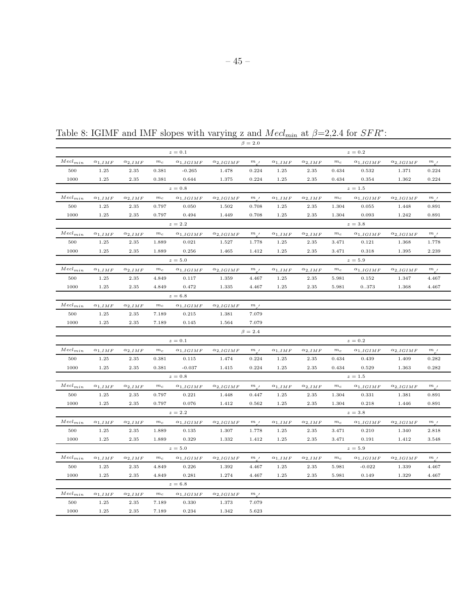|                            |                  |                  |             |                    |                    | $\beta = 2.0$        |                  |                  |             |                    |                    |                |
|----------------------------|------------------|------------------|-------------|--------------------|--------------------|----------------------|------------------|------------------|-------------|--------------------|--------------------|----------------|
|                            |                  |                  |             | $z=0.1$            |                    |                      |                  |                  |             | $z=0.2$            |                    |                |
| $\mathit{Mecl}_{min}$      | $\alpha_{1,IMF}$ | $\alpha_{2,IMF}$ | $m_c$       | $\alpha_{1,IGIMF}$ | $\alpha_{2,IGIMF}$ | $m_{\perp}$          | $\alpha_{1,IMF}$ | $\alpha_{2,IMF}$ | $m_c$       | $\alpha_{1,IGIMF}$ | $\alpha_{2,IGIMF}$ | $m_{a}$        |
| 500                        | 1.25             | 2.35             | 0.381       | $-0.265$           | 1.478              | 0.224                | 1.25             | 2.35             | 0.434       | 0.532              | 1.371              | 0.224          |
| 1000                       | 1.25             | 2.35             | 0.381       | 0.644              | 1.375              | 0.224                | 1.25             | 2.35             | 0.434       | 0.354              | 1.362              | 0.224          |
|                            |                  |                  |             | $z=0.8$            |                    |                      |                  |                  |             | $z=1.5$            |                    |                |
| $Mecl_{min}$               | $\alpha_{1,IMF}$ | $\alpha_{2,IMF}$ | $m_{\rm c}$ | $\alpha_{1,IGIMF}$ | $\alpha_{2,IGIMF}$ | $\,m$ $\,$ $\,$ $\,$ | $\alpha_{1,IMF}$ | $\alpha_{2,IMF}$ | $m_c$       | $\alpha_{1,IGIMF}$ | $\alpha_{2,IGIMF}$ | $m_{\alpha'}$  |
| 500                        | 1.25             | 2.35             | 0.797       | 0.050              | 1.502              | 0.708                | 1.25             | 2.35             | 1.304       | 0.055              | 1.448              | 0.891          |
| 1000                       | 1.25             | 2.35             | 0.797       | 0.494              | 1.449              | 0.708                | 1.25             | 2.35             | 1.304       | 0.093              | 1.242              | 0.891          |
|                            |                  |                  |             | $z=2.2$            |                    |                      |                  |                  |             | $z=3.8$            |                    |                |
| $Mecl_{min}$               | $\alpha_{1.IMF}$ | $\alpha_{2,IMF}$ | $m_c$       | $\alpha_{1,IGIMF}$ | $\alpha_{2,IGIMF}$ | m <sub>l</sub>       | $\alpha_{1,IMF}$ | $\alpha_{2,IMF}$ | $m_c$       | $\alpha_{1,IGIMF}$ | $\alpha_{2,IGIMF}$ | $m_{e}$        |
| 500                        | 1.25             | 2.35             | 1.889       | 0.021              | 1.527              | 1.778                | 1.25             | 2.35             | 3.471       | 0.121              | 1.368              | 1.778          |
| 1000                       | 1.25             | 2.35             | 1.889       | 0.256              | 1.465              | 1.412                | 1.25             | 2.35             | 3.471       | 0.318              | 1.395              | 2.239          |
|                            |                  |                  |             | $z=5.0$            |                    |                      |                  |                  |             | $z=5.9$            |                    |                |
| $Mel_{min}$                | $\alpha_{1,IMF}$ | $\alpha_{2,IMF}$ | $m_c$       | $\alpha_{1,IGIMF}$ | $\alpha_{2,IGIMF}$ | m <sub>l</sub>       | $\alpha_{1,IMF}$ | $\alpha_{2,IMF}$ | $m_c$       | $\alpha_{1,IGIMF}$ | $\alpha_{2,IGIMF}$ | $m_{\perp}$    |
| 500                        | 1.25             | 2.35             | 4.849       | 0.117              | 1.359              | 4.467                | 1.25             | 2.35             | 5.981       | 0.152              | 1.347              | 4.467          |
| 1000                       | 1.25             | 2.35             | 4.849       | 0.472              | 1.335              | 4.467                | 1.25             | 2.35             | 5.981       | 0373               | 1.368              | 4.467          |
|                            |                  |                  |             | $z=6.8$            |                    |                      |                  |                  |             |                    |                    |                |
| $Mecl_{min}$               | $\alpha_{1,IMF}$ | $\alpha_{2,IMF}$ | $m_{\rm c}$ | $\alpha_{1,IGIMF}$ | $\alpha_{2,IGIMF}$ | $m_{.}$              |                  |                  |             |                    |                    |                |
| 500                        | 1.25             | 2.35             | 7.189       | 0.215              | 1.381              | 7.079                |                  |                  |             |                    |                    |                |
| 1000                       | 1.25             | 2.35             | 7.189       | 0.145              | 1.564              | 7.079                |                  |                  |             |                    |                    |                |
|                            |                  |                  |             |                    |                    | $\beta = 2.4$        |                  |                  |             |                    |                    |                |
|                            |                  |                  |             | $z=0.1$            |                    |                      |                  |                  |             | $z=0.2$            |                    |                |
| $Mecl_{min}$               | $\alpha_{1,IMF}$ | $\alpha_{2,IMF}$ | $m_c$       | $\alpha_{1,IGIMF}$ | $\alpha_{2,IGIMF}$ | m <sub>l</sub>       | $\alpha_{1,IMF}$ | $\alpha_{2,IMF}$ | $m_{\it c}$ | $\alpha_{1,IGIMF}$ | $\alpha_{2,IGIMF}$ | $m_{c}$        |
| 500                        | 1.25             | 2.35             | 0.381       | 0.115              | 1.474              | 0.224                | 1.25             | 2.35             | 0.434       | 0.439              | 1.409              | 0.282          |
| 1000                       | 1.25             | 2.35             | 0.381       | $-0.037$           | 1.415              | 0.224                | 1.25             | 2.35             | 0.434       | 0.529              | 1.363              | 0.282          |
|                            |                  |                  |             | $z=0.8$            |                    |                      |                  |                  |             | $z=1.5$            |                    |                |
| $\mathit{Mecl}_{min}$      | $\alpha_{1,IMF}$ | $\alpha_{2,IMF}$ | $m_{\rm c}$ | $\alpha_{1,IGIMF}$ | $\alpha_{2,IGIMF}$ | m <sub>l</sub>       | $\alpha_{1,IMF}$ | $\alpha_{2,IMF}$ | $m_{\it c}$ | $\alpha_{1,IGIMF}$ | $\alpha_{2,IGIMF}$ | $m_{\_\prime}$ |
| 500                        | 1.25             | 2.35             | 0.797       | 0.221              | 1.448              | 0.447                | 1.25             | 2.35             | 1.304       | 0.331              | 1.381              | 0.891          |
| 1000                       | 1.25             | 2.35             | 0.797       | 0.076              | 1.412              | 0.562                | 1.25             | 2.35             | 1.304       | 0.218              | 1.446              | 0.891          |
|                            |                  |                  |             | $z=2.2$            |                    |                      |                  |                  |             | $z=3.8$            |                    |                |
| $\mathit{Mecl}_{min}$      | $\alpha_{1,IMF}$ | $\alpha_{2,IMF}$ | $m_c$       | $\alpha_{1,IGIMF}$ | $\alpha_{2,IGIMF}$ | m <sub>l</sub>       | $\alpha_{1,IMF}$ | $\alpha_{2,IMF}$ | $m_c$       | $\alpha_{1,IGIMF}$ | $\alpha_{2,IGIMF}$ | $m_{\perp}$    |
| 500                        | 1.25             | 2.35             | 1.889       | 0.135              | 1.307              | 1.778                | 1.25             | 2.35             | 3.471       | 0.210              | 1.340              | 2.818          |
| 1000                       | 1.25             | 2.35             | 1.889       | 0.329              | 1.332              | 1.412                | 1.25             | 2.35             | 3.471       | 0.191              | 1.412              | 3.548          |
|                            |                  |                  |             | $z=5.0$            |                    |                      |                  |                  |             | $z=5.9$            |                    |                |
| $\operatorname{Med}_{min}$ | $\alpha_{1,IMF}$ | $\alpha_{2,IMF}$ | $m_c$       | $\alpha_{1,IGIMF}$ | $\alpha_{2,IGIMF}$ | $m_{\perp}$          | $\alpha_{1,IMF}$ | $\alpha_{2,IMF}$ | $m_c$       | $\alpha_{1,IGIMF}$ | $\alpha_{2,IGIMF}$ | $m_{c}$        |
| 500                        | 1.25             | 2.35             | 4.849       | 0.226              | 1.392              | 4.467                | 1.25             | 2.35             | 5.981       | $-0.022$           | 1.339              | 4.467          |
| 1000                       | 1.25             | 2.35             | 4.849       | 0.281              | 1.274              | 4.467                | 1.25             | 2.35             | 5.981       | 0.149              | 1.329              | 4.467          |
|                            |                  |                  |             | $z=6.8$            |                    |                      |                  |                  |             |                    |                    |                |
| $Mech_{min}$               | $\alpha_{1,IMF}$ | $\alpha_{2,IMF}$ | $m_{\rm c}$ | $\alpha_{1,IGIMF}$ | $\alpha_{2,IGIMF}$ | m <sub>l</sub>       |                  |                  |             |                    |                    |                |
| 500                        | 1.25             | 2.35             | 7.189       | 0.330              | 1.373              | 7.079                |                  |                  |             |                    |                    |                |
| 1000                       | 1.25             | 2.35             | 7.189       | 0.234              | 1.342              | 5.623                |                  |                  |             |                    |                    |                |

Table 8: IGIMF and IMF slopes with varying z and  $Mecl_{min}$  at  $\beta=2,2.4$  for  $SFR^*$ :